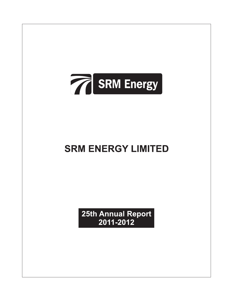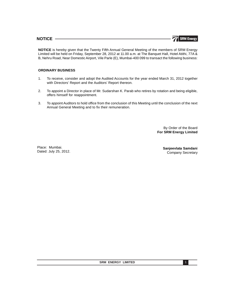**NOTICE** is hereby given that the Twenty Fifth Annual General Meeting of the members of SRM Energy Limited will be held on Friday, September 28, 2012 at 11.00 a.m. at The Banquet Hall, Hotel Atithi, 77A & B, Nehru Road, Near Domestic Airport, Vile Parle (E), Mumbai-400 099 to transact the following business:

### **ORDINARY BUSINESS**

- 1. To receive, consider and adopt the Audited Accounts for the year ended March 31, 2012 together with Directors' Report and the Auditors' Report thereon.
- 2. To appoint a Director in place of Mr. Sudarshan K. Parab who retires by rotation and being eligible, offers himself for reappointment.
- 3. To appoint Auditors to hold office from the conclusion of this Meeting until the conclusion of the next Annual General Meeting and to fix their remuneration.

By Order of the Board **For SRM Energy Limited**

Place: Mumbai. Dated: July 25, 2012.

**Sanjeevlata Samdani** Company Secretary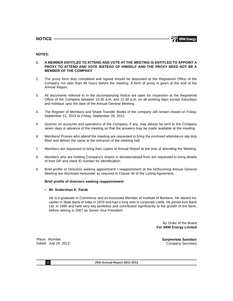

### **NOTES:**

- **1. A MEMBER ENTITLED TO ATTEND AND VOTE AT THE MEETING IS ENTITLED TO APPOINT A PROXY TO ATTEND AND VOTE INSTEAD OF HIMSELF AND THE PROXY NEED NOT BE A MEMBER OF THE COMPANY.**
- 2. The proxy form duly completed and signed should be deposited at the Registered Office of the Company not later than 48 hours before the meeting. A form of proxy is given at the end of the Annual Report.
- 3. All documents referred to in the accompanying Notice are open for inspection at the Registered Office of the Company between 10.30 a.m. and 12.30 p.m. on all working days except Saturdays and holidays upto the date of the Annual General Meeting.
- 4. The Register of Members and Share Transfer Books of the company will remain closed on Friday, September 21, 2012 to Friday, September 28, 2012.
- 5. Queries on accounts and operations of the Company, if any, may please be sent to the Company seven days in advance of the meeting so that the answers may be made available at the meeting.
- 6. Members/ Proxies who attend the meeting are requested to bring the enclosed attendance slip duly filled and deliver the same at the entrance of the meeting hall.
- 7. Members are requested to bring their copies of Annual Report at the time of attending the Meeting.
- 8. Members who are holding Company's shares in dematerialised from are requested to bring details of their DP and client ID number for identification.
- 9. Brief profile of Directors seeking appointment / reappointment at the forthcoming Annual General Meeting are disclosed hereunder as required in Clause 49 of the Listing Agreement.

#### **Brief profile of directors seeking reappointment**

#### • **Mr. Sudarshan K. Parab**

He is a graduate in Commerce and an Associate Member of Institute of Bankers. He started his career in State Bank of India in 1970 and had a long stint in corporate credit. He joined Axis Bank Ltd. in 1995 and held very key portfolios and contributed significantly to the growth of the bank, before retiring in 2007 as Senior Vice President.

> By Order of the Board **For SRM Energy Limited**

Place: Mumbai. Dated: July 25, 2012. **Sanjeevlata Samdani** Company Secretary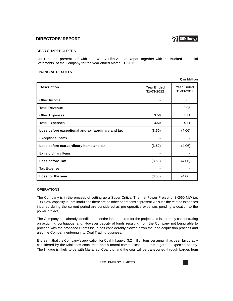### **DIRECTORS' REPORT**



` **in Million**

DEAR SHAREHOLDERS,

Our Directors present herewith the Twenty Fifth Annual Report together with the Audited Financial Statements of the Company for the year ended March 31, 2012.

### **FINANCIAL RESULTS**

| <b>Description</b>                                | <b>Year Ended</b><br>31-03-2012 | Year Ended<br>31-03-2011 |
|---------------------------------------------------|---------------------------------|--------------------------|
| Other Income                                      |                                 | 0.05                     |
| <b>Total Revenue</b>                              |                                 | 0.05                     |
| <b>Other Expenses</b>                             | 3.50                            | 4.11                     |
| <b>Total Expenses</b>                             | 3.50                            | 4.11                     |
| Loss before exceptional and extraordinary and tax | (3.50)                          | (4.06)                   |
| <b>Exceptional Items</b>                          |                                 |                          |
| Loss before extraordinary items and tax           | (3.50)                          | (4.06)                   |
| Extra-ordinary Items                              |                                 |                          |
| Loss before Tax                                   | (3.50)                          | (4.06)                   |
| Tax Expense                                       |                                 |                          |
| Loss for the year                                 | (3.50)                          | (4.06)                   |

### **OPERATIONS**

The Company is in the process of setting up a Super Critical Thermal Power Project of 3X660 MW i.e. 1980 MW capacity in Tamilnadu and there are no other operations at present. As such the related expenses incurred during the current period are considered as pre-operative expenses pending allocation to the power project.

The Company has already identified the entire land required for the project and is currently concentrating on acquiring contiguous land. However paucity of funds resulting from the Company not being able to proceed with the proposed Rights Issue has considerably slowed down the land acquisition process and also the Company entering into Coal Trading business.

It is learnt that the Company's application for Coal linkage of 3.2 million tons per annum has been favourably considered by the Ministries concerned and a formal communication in this regard is expected shortly. The linkage is likely to be with Mahanadi Coal Ltd. and the coal will be transported through barges from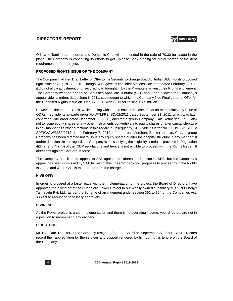Orissa to Tamilnadu. Imported and Domestic Coal will be blended in the ratio of 70:30 for usage in the plant. The Company is continuing its efforts to get Chinese Bank funding for major portion of the debt requirements of the project.

### **PROPOSED RIGHTS ISSUE OF THE COMPANY**

The Company had filed Draft Letter of Offer to the Security Exchange Board of India (SEBI) for its proposed right issue on August 17, 2010. Though SEBI gave its final observations vide letter dated February 8, 2011 it did not allow adjustment of unsecured loan brought in by the Promoters against their Rights entitlement. The Company went on appeal to Securities Appellate Tribunal (SAT) and it had allowed the Company's appeal vide its orders dated June 6, 2011, subsequent to which the Company filed Final Letter of Offer for the Proposed Rights Issue on June 17, 2011 with SEBI for raising ₹589 million.

However in the interim, SEBI, while dealing with certain entities in case of market manipulation by issue of GDRs, had vide its ex-parte order No.WTM/PS/ISD/02/2011 dated September 21, 2011, which was later confirmed vide order dated December 30, 2011, directed a group Company, Cals Refineries Ltd. (Cals) not to issue equity shares or any other instruments convertible into equity shares or alter capital structure in any manner till further directions in this regard. Subsequently, SEBI vide its letter No. CFD/DIL/ISSUES/ SP/RG/OW/3382/2012 dated February 7, 2012 informed our Merchant Banker that, as Cals, a group Company has been directed not to issue any equity shares or alter their capital structure in any manner till further directions in this regard, the Company is not satisfying the eligibility criteria as provided in Regulation 4(2)(a) and 4(2)(b) of the ICDR regulations and hence is not eligible to proceed with the Rights Issue till directions against Cals are in force.

The Company had filed an appeal to SAT against the aforesaid direction of SEBI but the Company's appeal has been dismissed by SAT. In view of this, the Company now proposes to proceed with the Rights Issue as and when Cals is exonerated from the charges.

### **HIVE OFF:**

In order to proceed at a faster pace with the implementation of the project, the Board of Directors, have approved the hiving off of the Cuddalore Power Project to our wholly owned subsidiary M/s SRM Energy Tamilnadu Pvt. Ltd., as per the Scheme of arrangement under section 391 to 394 of the Companies Act, subject to receipt of necessary approvals.

### **DIVIDEND**

As the Power project is under implementation and there is no operating income, your directors are not in a position to recommend any dividend.

### **DIRECTORS**

Mr. B.S. Rao, Director of the Company resigned from the Board on September 27, 2011. Your directors record their appreciation for the services and support rendered by him during his tenure on the Board of the Company.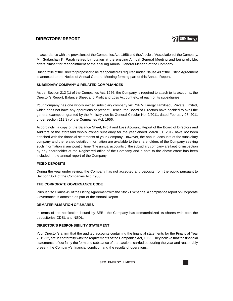

In accordance with the provisions of the Companies Act, 1956 and the Article of Association of the Company, Mr. Sudarshan K. Parab retires by rotation at the ensuing Annual General Meeting and being eligible, offers himself for reappointment at the ensuing Annual General Meeting of the Company.

Brief profile of the Director proposed to be reappointed as required under Clause 49 of the Listing Agreement is annexed to the Notice of Annual General Meeting forming part of this Annual Report.

### **SUBSIDIARY COMPANY & RELATED COMPLIANCES**

As per Section 212 (1) of the Companies Act, 1956, the Company is required to attach to its accounts, the Director's Report, Balance Sheet and Profit and Loss Account etc. of each of its subsidiaries.

Your Company has one wholly owned subsidiary company viz. "SRM Energy Tamilnadu Private Limited, which does not have any operations at present. Hence, the Board of Directors have decided to avail the general exemption granted by the Ministry vide its General Circular No. 2/2011, dated February 08, 2011 under section 212(8) of the Companies Act, 1956.

Accordingly, a copy of the Balance Sheet, Profit and Loss Account, Report of the Board of Directors and Auditors of the aforesaid wholly owned subsidiary for the year ended March 31, 2012 have not been attached with the financial statements of your Company. However, the annual accounts of the subsidiary company and the related detailed information are available to the shareholders of the Company seeking such information at any point of time. The annual accounts of the subsidiary company are kept for inspection by any shareholder at the Registered office of the Company and a note to the above effect has been included in the annual report of the Company.

### **FIXED DEPOSITS**

During the year under review, the Company has not accepted any deposits from the public pursuant to Section 58-A of the Companies Act, 1956.

### **THE CORPORATE GOVERNANCE CODE**

Pursuant to Clause 49 of the Listing Agreement with the Stock Exchange, a compliance report on Corporate Governance is annexed as part of the Annual Report.

### **DEMATERIALISATION OF SHARES**

In terms of the notification issued by SEBI, the Company has dematerialized its shares with both the depositories CDSL and NSDL.

### **DIRECTOR'S RESPONSIBILITY STATEMENT**

Your Director's affirm that the audited accounts containing the financial statements for the Financial Year 2011-12, are in conformity with the requirements of the Companies Act, 1956. They believe that the financial statements reflect fairly the form and substance of transactions carried out during the year and reasonably present the Company's financial condition and the results of operations.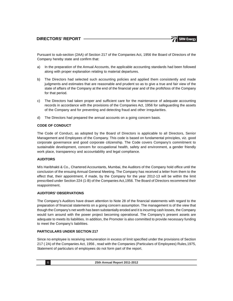Pursuant to sub-section (2AA) of Section 217 of the Companies Act, 1956 the Board of Directors of the Company hereby state and confirm that:

- a) In the preparation of the Annual Accounts, the applicable accounting standards had been followed along with proper explanation relating to material departures.
- b) The Directors had selected such accounting policies and applied them consistently and made judgments and estimates that are reasonable and prudent so as to give a true and fair view of the state of affairs of the Company at the end of the financial year and of the profit/loss of the Company for that period.
- c) The Directors had taken proper and sufficient care for the maintenance of adequate accounting records in accordance with the provisions of the Companies Act, 1956 for safeguarding the assets of the Company and for preventing and detecting fraud and other irregularities.
- d) The Directors had prepared the annual accounts on a going concern basis.

### **CODE OF CONDUCT**

The Code of Conduct, as adopted by the Board of Directors is applicable to all Directors, Senior Management and Employees of the Company. This code is based on fundamental principles, viz. good corporate governance and good corporate citizenship. The Code covers Company's commitment to sustainable development, concern for occupational health, safety and environment, a gender friendly work place, transparency and accountability and legal compliance.

### **AUDITORS**

M/s Haribhakti & Co., Chartered Accountants, Mumbai, the Auditors of the Company hold office until the conclusion of the ensuing Annual General Meeting. The Company has received a letter from them to the effect that, their appointment, if made, by the Company for the year 2012-13 will be within the limit prescribed under Section 224 (1-B) of the Companies Act,1956. The Board of Directors recommend their reappointment.

### **AUDITORS' OBSERVATIONS**

The Company's Auditors have drawn attention to Note 28 of the financial statements with regard to the preparation of financial statements on a going concern assumption. The management is of the view that though the Company's net worth has been substantially eroded and it is incurring cash losses, the Company would turn around with the power project becoming operational. The Company's present assets are adequate to meets its liabilities. In addition, the Promoter is also committed to provide necessary funding to meet the Company's liabilities.

### **PARTICULARS UNDER SECTION 217**

Since no employee is receiving remuneration in excess of limit specified under the provisions of Section 217 ( 2A) of the Companies Act, 1956 , read with the Companies (Particulars of Employees) Rules,1975, Statement of particulars of employees do not form part of the report.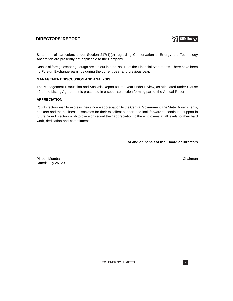### **DIRECTORS' REPORT**



Statement of particulars under Section 217(1)(e) regarding Conservation of Energy and Technology Absorption are presently not applicable to the Company.

Details of foreign exchange outgo are set out in note No. 19 of the Financial Statements. There have been no Foreign Exchange earnings during the current year and previous year.

### **MANAGEMENT DISCUSSION AND ANALYSIS**

The Management Discussion and Analysis Report for the year under review, as stipulated under Clause 49 of the Listing Agreement is presented in a separate section forming part of the Annual Report.

### **APPRECIATION**

Your Directors wish to express their sincere appreciation to the Central Government, the State Governments, bankers and the business associates for their excellent support and look forward to continued support in future. Your Directors wish to place on record their appreciation to the employees at all levels for their hard work, dedication and commitment.

**For and on behalf of the Board of Directors**

Place: Mumbai. Chairman Dated: July 25, 2012.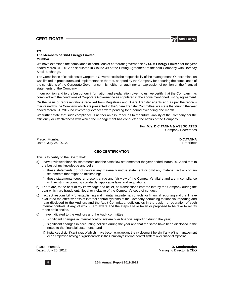### **CERTIFICATE**



#### **TO The Members of SRM Energy Limited, Mumbai.**

We have examined the compliance of conditions of corporate governance by **SRM Energy Limited** for the year ended March 31, 2012 as stipulated in Clause 49 of the Listing Agreement of the said Company with Bombay Stock Exchange.

The Compliance of conditions of Corporate Governance is the responsibility of the management. Our examination was limited to procedures and implementation thereof, adopted by the Company for ensuring the compliance of the conditions of the Corporate Governance. It is neither an audit nor an expression of opinion on the financial statements of the Company.

In our opinion and to the best of our information and explanation given to us, we certify that the Company has complied with the conditions of Corporate Governance as stipulated in the above mentioned Listing Agreement.

On the basis of representations received from Registrars and Share Transfer agents and as per the records maintained by the Company which are presented to the Share Transfer Committee, we state that during the year ended March 31, 2012 no investor grievances were pending for a period exceeding one month.

We further state that such compliance is neither an assurance as to the future viability of the Company nor the efficiency or effectiveness with which the management has conducted the affairs of the Company.

> For **M/s. D.C.TANNA & ASSOCIATES** Company Secretaries

Place: Mumbai. **D.C.TANNA** Dated: July 25, 2012.

### **CEO CERTIFICATION**

This is to certify to the Board that:

- a) I have reviewed financial statements and the cash flow statement for the year ended March 2012 and that to the best of my knowledge and belief:
	- these statements do not contain any materially untrue statement or omit any material fact or contain statements that might be misleading;
	- ii) these statements together present a true and fair view of the Company's affairs and are in compliance with existing accounting standards, applicable laws and regulations.
- b) There are, to the best of my knowledge and belief, no transactions entered into by the Company during the year which are fraudulent, illegal or violative of the Company's code of conduct.
- c) I accept responsibility for establishing and maintaining internal controls for financial reporting and that I have evaluated the effectiveness of internal control systems of the Company pertaining to financial reporting and have disclosed to the Auditors and the Audit Committee, deficiencies in the design or operation of such internal controls, if any, of which I am aware and the steps I have taken or proposed to be take to rectify these deficiencies.
- d) I have indicated to the Auditors and the Audit committee:
	- i) significant changes in internal control system over financial reporting during the year;
	- ii) significant changes in accounting policies during the year and that the same have been disclosed in the notes to the financial statements; and
	- iii) instances of significant fraud of which I have become aware and the involvement therein, if any, of the management or an employee having a significant role in the Company's internal control system over financial reporting.

Place: Mumbai. **D. Sundararajan** Managing Director & CEO

8 **25th Annual Report 2011-2012**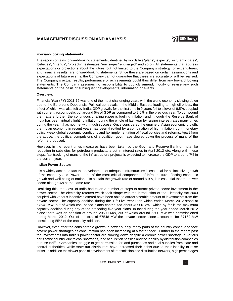### **TA** SRM Energy

### **Forward-looking statements:**

The report contains forward-looking statements, identified by words like 'plans', 'expects', 'will', 'anticipates', 'believes', 'intends', 'projects', 'estimates' 'envisages/ envisaged" and so on. All statements that address expectations or projections about the future, but not limited to the Company's strategy for expenditures, and financial results, are forward-looking statements. Since these are based on certain assumptions and expectations of future events, the Company cannot quarantee that these are accurate or will be realised. The Company's actual results, performance or achievements could thus differ from any forward looking statements. The Company assumes no responsibility to publicly amend, modify or revise any such statements on the basis of subsequent developments, information or events.

### **Overview:**

Financial Year (FY) 2011-12 was one of the most challenging years with the world economy slowing down due to the Euro zone Debt crisis, Political upheavals in the Middle East etc leading to high oil prices, the effect of which was also felt by India. GDP growth, for the first time in 9 years fell to a level of 6.5%, coupled with current account deficit of around 5% of GDP as compared to 2.6% in the previous year. To compound the matters further, the continuously falling rupee is fuelling inflation and though the Reserve Bank of India has been virtually fighting inflation during the whole of last year by raising interest rates many times during the year it has not met with much success. Once considered the engine of Asian economic growth, the Indian economy in recent years has been throttled by a combination of high inflation, tight monetary policy, weak global economic conditions and lax implementation of fiscal policies and reforms. Apart from the above, the political compulsions of a coalition govt. have slowed down the process of many of the reforms proposed.

However, in the recent times measures have been taken by the Govt. and Reserve Bank of India like reduction in subsidies for petroleum products, a cut in interest rates in April 2012 etc. Along with these steps, fast tracking of many of the infrastructure projects is expected to increase the GDP to around 7% in the current year.

### **Indian Power Sector:**

It is a widely accepted fact that development of adequate infrastructure is essential for all inclusive growth of the economy and Power is one of the most critical components of infrastructure affecting economic growth and well being of nations. To sustain the growth rate of around 8-9%, it is essential that the power sector also grows at the same rate.

Realising this, the Govt. of India had taken a number of steps to attract private sector investment in the power sector. The electricity reforms which took shape with the introduction of the Electricity Act 2003 coupled with various incentives offered have been able to attract sizeable amount of investments from the private sector. The capacity addition during the 11<sup>th</sup> Five Year Plan which ended March 2012 stood at 67548 MW, out of which coal based plants contributed about 40900 MW, which by far is the maximum capacity addition during any of the preceding five year plans. In fact during the year ended March 2012 alone there was an addition of around 20500 MW, out of which around 5500 MW was commissioned during March 2012. Out of the total of 67548 MW the private sector alone accounted for 37162 MW constituting 55% of the capacity addition.

However, even after the considerable growth in power supply, many parts of the country continue to face severe power shortages as consumption has been increasing at a faster pace. Further in the recent past the investments into India's power sector are slowing down despite a chronic power shortage in various parts of the country, due to coal shortages, land acquisition hassles and the inability by distribution companies to raise tariffs. Companies struggle to get permission for land purchases and coal supplies from state and central authorities, while state-run distributors have increased their debts due to their inability to raise tariffs. In addition the slower pace of development of transmission and distribution network, high percentages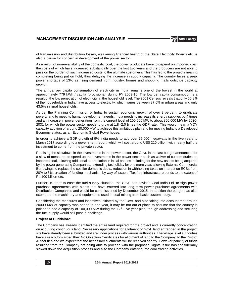of transmission and distribution losses, weakening financial health of the State Electricity Boards etc. is also a cause for concern in development of the power sector.

As a result of non-availability of the domestic coal, the power producers have to depend on imported coal, the costs of which have increased substantially over the last two years and the producers are not able to pass on the burden of such increased costs to the ultimate customers. This has led to the projects nearing completing being put on hold, thus delaying the increase in supply capacity. The country faces a peak power shortage of 13% as rising demand from industry, homes and shopping malls outstrips capacity growth.

The annual per capita consumption of electricity in India remains one of the lowest in the world at approximately 779 kWh / capita (provisional) during FY 2009-10. The low per capita consumption is a result of the low penetration of electricity at the household level. The 2001 Census reveals that only 55.8% of the households in India have access to electricity, which varies between 87.6% in urban areas and only 43.5% in rural households.

As per the Planning Commission of India, to sustain economic growth of over 8 percent, to eradicate poverty and to meet its human development needs, India needs to increase its energy supplies by 4 times and an increase in power generation from the current level of 200,000 MW to about 800,000 MW by 2030- 2031 for which the power sector needs to grow at 1.8 -2.0 times the GDP rate. This would mean a YOY capacity addition of around 20,000 MW to achieve this ambitious plan and for moving India to a Developed Economy status, as an Economic Global Powerhouse.

In order to achieve a GDP growth of 9% India needs to add over 75,000 megawatts in the five years to March 2017 according to a government report, which will cost around US\$ 210 billion, with nearly half the investment to come from the private sector.

Realising the slowdown in the investments in the power sector, the Govt. in the last budget announced for a slew of measures to speed up the investments in the power sector such as waiver of custom duties on imported coal, allowing additional depreciation in initial phases including for the new assets being acquired by the power generating Companies, extending tax holiday for one more year, allowing External Commercial Borrowings to replace the costlier domestic debts, reduction in withholding taxes on interest on ECBs from 20% to 5%, creation of funding mechanism by way of issue of Tax free infrastructure bonds to the extent of Rs.100 billion etc.

Further, in order to ease the fuel supply situation, the Govt. has advised Coal India Ltd. to sign power purchase agreements with plants that have entered into long term power purchase agreements with Distribution Companies and would be commissioned by December 2015. In addition the budget has also exempted the machinery and equipments used in coal mining from basic customs duty.

Considering the measures and incentives initiated by the Govt. and also taking into account that around 20000 MW of capacity was added in one year, it may be not out of place to assume that the country is poised to add a capacity of 100,000 MW during the  $12<sup>th</sup>$  Five year plan, though addressing and securing the fuel supply would still pose a challenge.

### **Project at Cuddalore:**

The Company has already identified the entire land required for the project and is currently concentrating on acquiring contiguous land. Necessary applications for allotment of Govt. land entrapped in the project site have already been submitted and are under process with various authorities. The village level authorities have already forwarded their No Objection Certificates for allotment of land to the Company, to the District Authorities and we expect that the necessary allotments will be received shortly. However paucity of funds resulting from the Company not being able to proceed with the proposed Rights Issue has considerably slowed down the acquisition process and also the Company entering into coal trading activities.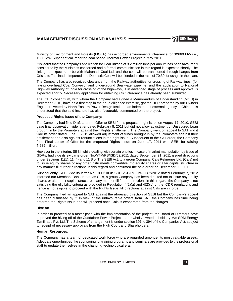

Ministry of Environment and Forests (MOEF) has accorded environmental clearance for 3X660 MW i.e., 1980 MW Super critical imported coal based Thermal Power Project in May 2011.

It is learnt that the Company's application for Coal linkage of 3.2 million tons per annum has been favourably considered by the Ministries concerned and a formal communication in this regard is expected shortly. The linkage is expected to be with Mahanadi Coal Ltd. and the coal will be transported through barges from Orissa to Tamilnadu. Imported and Domestic Coal will be blended in the ratio of 70:30 for usage in the plant.

The Company has also received clearance from the Railway authorities for crossing of Railway lines. (for laying overhead Coal Conveyor and underground Sea water pipeline) and the application to National Highway Authority of India for crossing of the highways, is in advanced stage of process and approval is expected shortly. Necessary application for obtaining CRZ clearance has already been submitted.

The ICBC consortium, with whom the Company had signed a Memorandum of Understanding (MOU) in December 2010, have as a first step in their due diligence exercise, got the DPR prepared by our Owners Engineers vetted by North Eastern Power Design Institute, an independent external agency in China. It is understood that the said institute has also favourably commented on the project.

#### **Proposed Rights Issue of the Company:**

The Company had filed Draft Letter of Offer to SEBI for its proposed right issue on August 17, 2010. SEBI gave final observation vide letter dated February 8, 2011 but did not allow adjustment of Unsecured Loan brought in by the Promoters against their Rights entitlement. The Company went on appeal to SAT and it vide its order dated June 6, 2011 allowed adjustment of funds brought in by the Promoters against their entitlement and also against renunciations in the right issue. Subsequent to the SAT order, the Company filed Final Letter of Offer for the proposed Rights Issue on June 17, 2011 with SEBI for raising ₹ 589 million.

However in the interim, SEBI, while dealing with certain entities in case of market manipulation by issue of GDRs, had vide its ex-parte order No.WTM/PS/ISD/02/2011 dated September 21, 2011 issued directions under Sections 11(1), 11 (4) and 11 B of The SEBI Act, to a group Company, Cals Refineries Ltd. (Cals) not to issue equity shares or any other instruments convertible into equity shares or alter capital structure in any manner till further directions in this regard and confirmed the said order on December 30, 2011.

Subsequently, SEBI vide its letter No. CFD/DIL/ISSUES/SP/RG/OW/3382/2012 dated February 7, 2012 informed our Merchant Banker that, as Cals, a group Company has been directed not to issue any equity shares or alter their capital structure in any manner till further directions in this regard, the Company is not satisfying the eligibility criteria as provided in Regulation 4(2)(a) and 4(2)(b) of the ICDR regulations and hence is not eligible to proceed with the Rights Issue till directions against Cals are in force.

The Company filed an appeal to SAT against the aforesaid direction of SEBI but the Company's appeal has been dismissed by it. In view of the unfavourable orders from SAT, the Company has time being deferred the Rights Issue and will proceed once Cals is exonerated from the charges.

#### **Hive off:**

In order to proceed at a faster pace with the implementation of the project, the Board of Directors have approved the hiving off of the Cuddalore Power Project to our wholly owned subsidiary M/s SRM Energy Tamilnadu Pvt. Ltd. The Scheme of arrangement is under section 391 to 394 of the Companies Act, subject to receipt of necessary approvals from the High Court and Shareholders.

#### **Human Resources:**

The Company has a team of dedicated work force who are regarded amongst its most valuable assets. Adequate opportunities like sponsoring for training programs and seminars are provided to the professional staff to update themselves in the changing technological era.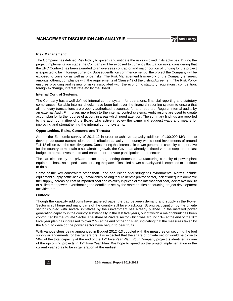### **SRM Energy**

### **Risk Management:**

The Company has defined Risk Policy to govern and mitigate the risks involved in its activities. During the project implementation stage the Company will be exposed to currency fluctuation risks, considering that the EPC Contract has been awarded to an overseas contractor and major portion of funding for the project is expected to be in foreign currency. Subsequently, on commencement of the project the Company will be exposed to currency as well as price risks. The Risk Management framework of the Company ensures, amongst others, compliance with the requirements of Clause 49 of the Listing Agreement. The Risk Policy ensures providing and review of risks associated with the economy, statutory regulations, competition, foreign exchange, interest rate etc by the Board.

### **Internal Control Systems:**

The Company has a well defined internal control system for operations, financial reporting and statutory compliances. Suitable internal checks have been built over the financial reporting system to ensure that all monetary transactions are properly authorised, accounted for and reported. Regular internal audits by an external Audit Firm gives more teeth to the internal control systems. Audit results are used to create action plan for further course of action, in areas which need attention. The summary findings are reported to the audit committee of the Board who actively review the same and suggest ways and means for improving and strengthening the internal control systems.

### **Opportunities, Risks, Concerns and Threats:**

As per the Economic survey of 2011-12 in order to achieve capacity addition of 100,000 MW and to develop adequate transmission and distribution capacity the country would need investments of around `11.18 trillion over the next five years. Considering that increase in power generation capacity is imperative for the country to maintain a sustainable growth, the Govt. has already initiated various steps in the last budget to attract investments and enable more private participation in the sector.

The participation by the private sector in augmenting domestic manufacturing capacity of power plant equipment has also helped in accelerating the pace of installed power capacity and is expected to continue to do so.

Some of the key constraints other than Land acquisition and stringent Environmental Norms include equipment supply bottle-necks, unavailability of long tenure debt to private sector, lack of adequate domestic fuel supply, increasing cost of imported coal and volatility in prices of the international coal, lack of availability of skilled manpower, overshooting the deadlines set by the state entities conducting project development activities etc.

### **Outlook:**

Though the capacity additions have gathered pace, the gap between demand and supply in the Power Sector is still huge and many parts of the country still face blackouts. Strong participation by the private sector coupled with several initiatives by the Government has already pushed up the installed power generation capacity in the country substantially in the last five years, out of which a major chunk has been contributed by the Private Sector. The share of Private sector which was around 13% at the end of the 10<sup>th</sup> Five year plan has increased to over 27% at the end of the 11<sup>th</sup> Plan, indicating that the measures taken by the Govt. to develop the power sector have begun to bear fruits.

With various steps being announced in Budget 2012 -13 coupled with the measures on securing the fuel supply arrangements for the generators, it is expected that the share of private sector would be close to 50% of the total capacity at the end of the 12<sup>th</sup> Five Year Plan. Your Company project is identified as one of the upcoming projects in  $12<sup>th</sup>$  Five Year Plan. We hope to speed up the project implementation in the current year so as to be in generation at the earliest.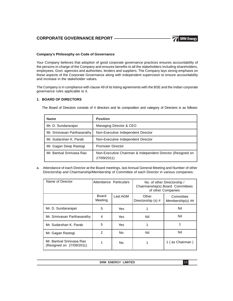

### **Company's Philosophy on Code of Governance**

Your Company believes that adoption of good corporate governance practices ensures accountability of the persons in-charge of the Company and ensures benefits to all the stakeholders including shareholders, employees, Govt. agencies and authorities, lenders and suppliers. The Company lays strong emphasis on these aspects of the Corporate Governance along with independent supervision to ensure accountability and increase in the stakeholder values.

The Company is in compliance with clause 49 of its listing agreements with the BSE and the Indian corporate governance rules applicable to it.

### **1. BOARD OF DIRECTORS**

The Board of Directors consists of 4 directors and its composition and category of Directors is as follows:

| <b>Name</b>                  | <b>Position</b>                                                           |
|------------------------------|---------------------------------------------------------------------------|
| Mr. D. Sundararajan          | Managing Director & CEO                                                   |
| Mr. Srinivasan Parthasarathy | Non-Executive Independent Director                                        |
| Mr. Sudarshan K. Parab       | Non-Executive Independent Director                                        |
| Mr. Gagan Deep Rastogi       | <b>Promoter Director</b>                                                  |
| Mr. Bantval Srinivasa Rao    | Non-Executive Chairman & Independent Director (Resigned on<br>27/09/2011) |

a. Attendance of each Director at the Board meetings, last Annual General Meeting and Number of other Directorship and Chairmanship/Membership of Committee of each Director in various companies:

| Name of Director                                      | Attendance Particulars |           |                             | No. of other Directorship /<br>Chairmanship(s) Board Committees<br>of other Companies |
|-------------------------------------------------------|------------------------|-----------|-----------------------------|---------------------------------------------------------------------------------------|
|                                                       | Board<br>Meeting       | Last AGM  | Other<br>Directorship (s) # | Committee<br>Membership(s) ##                                                         |
| Mr. D. Sundararajan                                   | 5                      | Yes       |                             | Nil                                                                                   |
| Mr. Srinivasan Parthasarathy                          | 4                      | Yes       | Nil                         | Nil                                                                                   |
| Mr. Sudarshan K. Parab                                | 5                      | Yes       |                             | 1                                                                                     |
| Mr. Gagan Rastogi                                     | $\overline{2}$         | <b>No</b> | Nil                         | Nil                                                                                   |
| Mr. Bantval Srinivasa Rao<br>(Resigned on 27/09/2011) |                        | No        |                             | 1 (as Chairman)                                                                       |

| <b>IMITED</b><br><b>ENEDCY</b><br><b>SRM</b> |  |
|----------------------------------------------|--|
|                                              |  |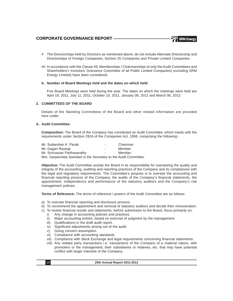

- # The Directorships held by Directors as mentioned above, do not include Alternate Directorship and Directorships of Foreign Companies, Section 25 Companies and Private Limited Companies.
- ## In accordance with the Clause 49, Memberships / Chairmanships of only the Audit Committees and Shareholders'/ Investors' Grievance Committee of all Public Limited Companies( excluding SRM Energy Limited) have been considered.

### **b. Number of Board Meetings held and the dates on which held:**

Five Board Meetings were held during the year. The dates on which the meetings were held are April 18, 2011, July 11, 2011, October 10, 2011, January 06, 2012 and March 06, 2012.

### **2. COMMITTEES OF THE BOARD**

Details of the Standing Committees of the Board and other related information are provided here under:

### **A. Audit Committee:**

**Composition:** The Board of the Company has constituted an Audit Committee, which meets with the requirements under Section 292A of the Companies Act, 1956, comprising the following:-

| Mr. Sudarshan K. Parab                                            | $\overline{\phantom{a}}$ | Chairman |
|-------------------------------------------------------------------|--------------------------|----------|
| Mr. Gagan Rastogi                                                 | $\overline{\phantom{a}}$ | Member   |
| Mr. Srinivasan Parthasarathy                                      | $\overline{\phantom{a}}$ | Member   |
| Mrs. Sanjeevlata Samdani is the Secretary to the Audit Committee. |                          |          |

**Objective:** The Audit Committee assists the Board in its responsibility for overseeing the quality and integrity of the accounting, auditing and reporting practices of the Company and its compliances with the legal and regulatory requirements. The Committee's purpose is to oversee the accounting and financial reporting process of the Company, the audits of the Company's financial statements, the appointment, independence and performance of the statutory auditors and the Company's risk management policies.

**Terms of Reference:** The terms of reference / powers of the Audit Committee are as follows:

- a) To oversee financial reporting and disclosure process.
- b) To recommend the appointment and removal of statutory auditors and decide their remuneration.
- c) To review financial results and statements, before submission to the Board, focus primarily on
	- i) Any change in accounting policies and practices.
	- ii) Major accounting entries, based on exercise of judgment by the management.
	- iii) Qualifications in the draft audit report.
	- iv) Significant adjustments arising out of the audit.
	- v) Going concern assumption.
	- vi) Compliance with accounting standards.
	- vii) Compliance with Stock Exchange and legal requirements concerning financial statements.
	- viii) Any related party transactions i.e. transactions of the Company of a material nature, with promoters or the management, their subsidiaries or relatives, etc. that may have potential conflict with larger interests of the Company.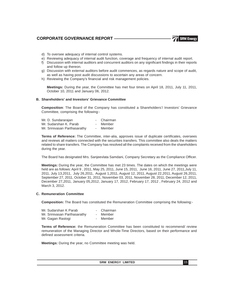

- d) To oversee adequacy of internal control systems.
- e) Reviewing adequacy of internal audit function, coverage and frequency of internal audit report.
- f) Discussion with internal auditors and concurrent auditors on any significant findings in their reports and follow up thereon.
- g) Discussion with external auditors before audit commences, as regards nature and scope of audit, as well as having post audit discussions to ascertain any areas of concern.
- h) Reviewing the Company's financial and risk management policies.

**Meetings:** During the year, the Committee has met four times on April 18, 2011, July 11, 2011, October 10, 2011 and January 06, 2012.

### **B. Shareholders' and Investors' Grievance Committee**

**Composition**: The Board of the Company has constituted a Shareholders'/ Investors' Grievance Committee, comprising the following:-

| Mr. D. Sundararajan          |                | Chairman |
|------------------------------|----------------|----------|
| Mr. Sudarshan K. Parab       |                | Member   |
| Mr. Srinivasan Parthasarathy | $\overline{a}$ | Member   |

**Terms of Reference:** The Committee, inter-alia, approves issue of duplicate certificates, oversees and reviews all matters connected with the securities transfers. This committee also deals the matters related to share transfers. The Company has resolved all the complaints received from the shareholders during the year.

The Board has designated Mrs. Sanjeevlata Samdani, Company Secretary as the Compliance Officer.

**Meetings:** During the year, the Committee has met 23 times. The dates on which the meetings were held are as follows: April 9 , 2011, May 25, 2011, June 15, 2011, June 16, 2011, June 27, 2011,July 11, 2011, July 13,2011, July 26,2011, August 1,2011, August 12, 2011, August 22,2011, August 26,2011, September 27, 2011, October 31, 2011, November 03, 2011, November 28, 2011, December 12, 2011, December 27,2011, January 05,2012, January 17, 2012, February 17, 2012 , February 24, 2012 and March 3, 2012.

### **C. Remuneration Committee**

**Composition:** The Board has constituted the Remuneration Committee comprising the following:-

| Mr. Sudarshan K Parab        | Chairman |
|------------------------------|----------|
| Mr. Srinivasan Parthasarathy | Member   |
| Mr. Gagan Rastogi            | Member   |

**Terms of Reference:** the Remuneration Committee has been constituted to recommend/ review remuneration of the Managing Director and Whole-Time Directors, based on their performance and defined assessment criteria.

**Meetings:** During the year, no Committee meeting was held.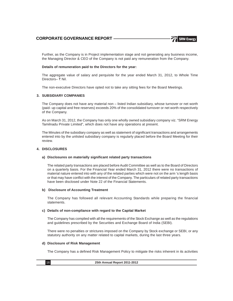

Further, as the Company is in Project implementation stage and not generating any business income, the Managing Director & CEO of the Company is not paid any remuneration from the Company.

### **Details of remuneration paid to the Directors for the year:**

The aggregate value of salary and perquisite for the year ended March 31, 2012, to Whole Time Directors– ₹ Nil.

The non-executive Directors have opted not to take any sitting fees for the Board Meetings.

### **3. SUBSIDIARY COMPANIES**

The Company does not have any material non – listed Indian subsidiary, whose turnover or net worth (paid- up capital and free reserves) exceeds 20% of the consolidated turnover or net worth respectively of the Company.

As on March 31, 2012, the Company has only one wholly owned subsidiary company viz. "SRM Energy Tamilnadu Private Limited", which does not have any operations at present.

The Minutes of the subsidiary company as well as statement of significant transactions and arrangements entered into by the unlisted subsidiary company is regularly placed before the Board Meeting for their review.

#### **4. DISCLOSURES**

#### **a) Disclosures on materially significant related party transactions**

The related party transactions are placed before Audit Committee as well as to the Board of Directors on a quarterly basis. For the Financial Year ended March 31, 2012 there were no transactions of material nature entered into with any of the related parties which were not on the arm 's length basis or that may have conflict with the interest of the Company. The particulars of related party transactions have been disclosed under Note 22 of the Financial Statements.

### **b) Disclosure of Accounting Treatment**

The Company has followed all relevant Accounting Standards while preparing the financial statements.

#### **c) Details of non-compliance with regard to the Capital Market**

The Company has complied with all the requirements of the Stock Exchange as well as the regulations and guidelines prescribed by the Securities and Exchange Board of India (SEBI).

There were no penalties or strictures imposed on the Company by Stock exchange or SEBI, or any statutory authority on any matter related to capital markets, during the last three years.

#### **d) Disclosure of Risk Management**

The Company has a defined Risk Management Policy to mitigate the risks inherent in its activities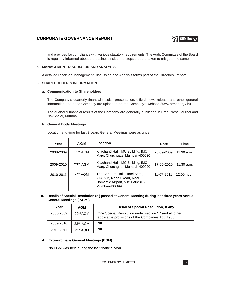

and provides for compliance with various statutory requirements. The Audit Committee of the Board is regularly informed about the business risks and steps that are taken to mitigate the same.

### **5. MANAGEMENT DISCUSSION AND ANALYSIS**

A detailed report on Management Discussion and Analysis forms part of the Directors' Report.

### **6. SHAREHOLDER'S INFORMATION**

### **a. Communication to Shareholders**

The Company's quarterly financial results, presentation, official news release and other general information about the Company are uploaded on the Company's website (www.srmenergy.in).

The quarterly financial results of the Company are generally published in Free Press Journal and NavShakti, Mumbai.

### **b. General Body Meetings**

Location and time for last 3 years General Meetings were as under:

| Year      | <b>AGM</b>           | Location                                                                                                           | Date       | Time         |
|-----------|----------------------|--------------------------------------------------------------------------------------------------------------------|------------|--------------|
| 2008-2009 | 22 <sup>nd</sup> AGM | Kilachand Hall, IMC Building, IMC<br>Marg, Churchgate, Mumbai -400020                                              | 23-09-2009 | $11:30$ a.m. |
| 2009-2010 | 23rd AGM             | Kilachand Hall, IMC Building, IMC<br>Marg, Churchgate, Mumbai -400020                                              | 17-05-2010 | $11:30$ a.m. |
| 2010-2011 | 24 <sup>th</sup> AGM | The Banquet Hall, Hotel Atithi,<br>77A & B, Nehru Road, Near<br>Domestic Airport, Vile Parle (E),<br>Mumbai-400099 | 11-07-2011 | 12.00 noon   |

### **c. Details of Special Resolution (s ) passed at General Meeting during last three years Annual General Meetings ( AGM )**

| Year      | <b>AGM</b>           | Detail of Special Resolution, if any.                                                                      |
|-----------|----------------------|------------------------------------------------------------------------------------------------------------|
| 2008-2009 | 22 <sup>nd</sup> AGM | One Special Resolution under section 17 and all other<br>applicable provisions of the Companies Act, 1956. |
| 2009-2010 | $23rd$ AGM           | <b>NIL</b>                                                                                                 |
| 2010-2011 | 24 <sup>th</sup> AGM | <b>NIL</b>                                                                                                 |

### **d. Extraordinary General Meetings (EGM)**

No EGM was held during the last financial year.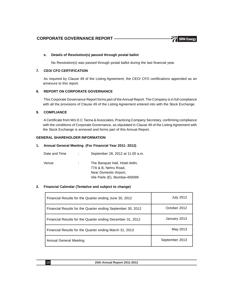

### **e. Details of Resolution(s) passed through postal ballot**

No Resolution(s) was passed through postal ballot during the last financial year.

### **7. CEO/ CFO CERTIFICATION**

As required by Clause 49 of the Listing Agreement, the CEO/ CFO certifications appended as an annexure to this report.

### **8. REPORT ON CORPORATE GOVERNANCE**

This Corporate Governance Report forms part of the Annual Report. The Company is in full compliance with all the provisions of Clause 49 of the Listing Agreement entered into with the Stock Exchange.

### **9. COMPLIANCE**

A Certificate from M/s D.C.Tanna & Associates, Practicing Company Secretary, confirming compliance with the conditions of Corporate Governance, as stipulated in Clause 49 of the Listing Agreement with the Stock Exchange is annexed and forms part of this Annual Report.

### **GENERAL SHAREHOLDER INFORMATION**

### **1. Annual General Meeting (For Financial Year 2011- 2012)**

| Date and Time | ÷. | September 28, 2012 at 11.00 a.m.                                                                                   |
|---------------|----|--------------------------------------------------------------------------------------------------------------------|
| Venue         |    | The Banguet Hall, Hotel Atithi,<br>77A & B, Nehru Road,<br>Near Domestic Airport,<br>Vile Parle (E), Mumbai-400099 |

### **2. Financial Calendar (Tentative and subject to change)**

| Financial Results for the Quarter ending June 30, 2012      | <b>July 2012</b> |
|-------------------------------------------------------------|------------------|
| Financial Results for the Quarter ending September 30, 2012 | October 2012     |
| Financial Results for the Quarter ending December 31, 2012  | January 2013     |
| Financial Results for the Quarter ending March 31, 2013     | May 2013         |
| <b>Annual General Meeting</b>                               | September 2013   |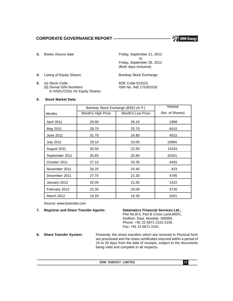**3.** Books closure date **Friday**, September 21, 2012 to Friday, September 28, 2012 (Both days inclusive).

- **4.** Listing of Equity Shares **Bombay Stock Exchange**
- **5.** (a) Stock Code: BSE Code-523222 (b) Demat ISIN Numbers ISIN No. INE 173J01018 In NSDL/CDSL for Equity Shares:

### **6. Stock Market Data:**

April 2011 | 29.00 | 26.15 | 1968 May 2011 | 29.70 | 25.70 | 6410 June 2011 31.70 24.80 4022 July 2011 | 29.10 | 23.00 | 10965 August 2011 | 26.50 | 22.50 | 11633 September 2011 | 26.65 | 20.80 | 10251 October 2011 27.15 20.35 4455 November 2011 | 28.25 | 24.45 | 423 December 2011 27.70 21.30 4795 January 2012 25.05 21.55 1422 February 2012 22.35 20.00 3730 March 2012 | 19.20 | 16.30 | 3201 **Months** Bombay Stock Exchange (BSE) (In ₹.) Month's High Price | Month's Low Price Volume (No. of Shares)

Source: www.bseindia.com

**7. Registrar and Share Transfer Agents: Datamatics Financial Services Ltd.,**

Plot No.B-5, Part B Cross Lane,MIDC, Andheri- East, Mumbai- 400093. Phone: +91 22 6671 2151-2156. Fax: +91 22 6671 2161.

8. Share Transfer System: Presently, the share transfers which are received in Physical form are processed and the share certificates returned within a period of 15 to 20 days from the date of receipts, subject to the documents being valid and complete in all respects.

**SRM ENERGY LIMITED** 19

### **TRIM Energy**

|--|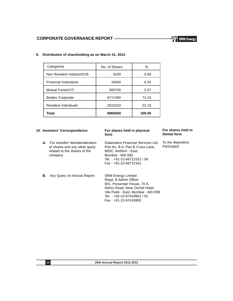### **SRM Energy**

| Categories                    | No. of Shares | %      |
|-------------------------------|---------------|--------|
| Non Resident Indians/OCB      | 8100          | 0.09   |
| <b>Financial Institutions</b> | 18500         | 0.20   |
| <b>Mutual Funds/UTI</b>       | 305700        | 3.37   |
| <b>Bodies Corporate</b>       | 6717490       | 74.15  |
| Resident Individuals          | 2010210       | 22.19  |
| Total                         | 9060000       | 100.00 |

### **9. Distribution of shareholding as on March 31, 2012**

#### **10. Investors' Correspondence A.** For transfer/ dematerialization of shares and any other query related to the shares of the company **B.** Any Query on Annual Report **For shares held in physical form** Datamatics Financial Services Ltd, Plot No. B-5, Part B Cross Lane, MIDC, Andheri - East, Mumbai - 400 093. Tel. : +91-22-66712151 / 56 Fax : +91-22-66712161 SRM Energy Limited Regd. & Admin Office: 601, Pressman House, 70 A, Nehru Road, Near Orchid Hotel, Vile Parle - East, Mumbai - 400 099. Tel. : +91-22-67418901 / 02 Fax : +91-22-67418900 **For shares held in Demat form** To the depository Participant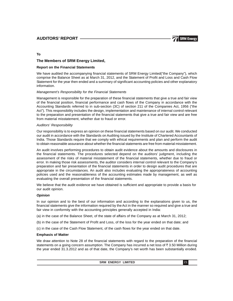

### **To**

### **The Members of SRM Energy Limited,**

### **Report on the Financial Statements**

We have audited the accompanying financial statements of SRM Energy Limited("the Company"), which comprise the Balance Sheet as at March 31, 2012, and the Statement of Profit and Loss and Cash Flow Statement for the year then ended and a summary of significant accounting policies and other explanatory information.

### *Management's Responsibility for the Financial Statements*

Management is responsible for the preparation of these financial statements that give a true and fair view of the financial position, financial performance and cash flows of the Company in accordance with the Accounting Standards referred to in sub-section (3C) of section 211 of the Companies Act, 1956 ("the Act"). This responsibility includes the design, implementation and maintenance of internal control relevant to the preparation and presentation of the financial statements that give a true and fair view and are free from material misstatement, whether due to fraud or error.

### *Auditors' Responsibility*

Our responsibility is to express an opinion on these financial statements based on our audit. We conducted our audit in accordance with the Standards on Auditing issued by the Institute of Chartered Accountants of India. Those Standards require that we comply with ethical requirements and plan and perform the audit to obtain reasonable assurance about whether the financial statements are free from material misstatement.

An audit involves performing procedures to obtain audit evidence about the amounts and disclosures in the financial statements. The procedures selected depend on the auditors' judgment, including the assessment of the risks of material misstatement of the financial statements, whether due to fraud or error. In making those risk assessments, the auditor considers internal control relevant to the Company's preparation and fair presentation of the financial statements in order to design audit procedures that are appropriate in the circumstances. An audit also includes evaluating the appropriateness of accounting policies used and the reasonableness of the accounting estimates made by management, as well as evaluating the overall presentation of the financial statements.

We believe that the audit evidence we have obtained is sufficient and appropriate to provide a basis for our audit opinion.

### *Opinion*

In our opinion and to the best of our information and according to the explanations given to us, the financial statements give the information required by the Act in the manner so required and give a true and fair view in conformity with the accounting principles generally accepted in India:

(a) in the case of the Balance Sheet, of the state of affairs of the Company as at March 31, 2012;

(b) in the case of the Statement of Profit and Loss, of the loss for the year ended on that date; and

(c) in the case of the Cash Flow Statement, of the cash flows for the year ended on that date.

### **Emphasis of Matter**

We draw attention to Note 28 of the financial statements with regard to the preparation of the financial statements on a going concern assumption. The Company has incurred a net loss of  $\bar{\tau}$  3.50 Million during the year ended 31.3.2012 and as of that date, the Company's net worth has been substantially eroded.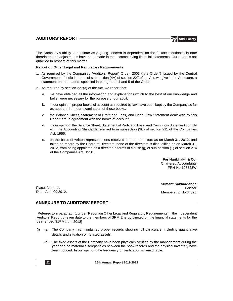The Company's ability to continue as a going concern is dependent on the factors mentioned in note therein and no adjustments have been made in the accompanying financial statements. Our report is not qualified in respect of this matter.

### **Report on Other Legal and Regulatory Requirements**

- 1. As required by the Companies (Auditors' Report) Order, 2003 ("the Order") issued by the Central Government of India in terms of sub-section (4A) of section 227 of the Act, we give in the Annexure, a statement on the matters specified in paragraphs 4 and 5 of the Order.
- 2. As required by section 227(3) of the Act, we report that:
	- a. we have obtained all the information and explanations which to the best of our knowledge and belief were necessary for the purpose of our audit;
	- b. in our opinion, proper books of account as required by law have been kept by the Company so far as appears from our examination of those books;
	- c. the Balance Sheet, Statement of Profit and Loss, and Cash Flow Statement dealt with by this Report are in agreement with the books of account;
	- d. in our opinion, the Balance Sheet, Statement of Profit and Loss, and Cash Flow Statement comply with the Accounting Standards referred to in subsection (3C) of section 211 of the Companies Act, 1956;
	- e. on the basis of written representations received from the directors as on March 31, 2012, and taken on record by the Board of Directors, none of the directors is disqualified as on March 31, 2012, from being appointed as a director in terms of clause (g) of sub-section (1) of section 274 of the Companies Act, 1956.

**For Haribhakti & Co.** Chartered Accountants FRN No.103523W

Place: Mumbai. Date: April 09,2012. **Sumant Sakhardande** Partner Membership No.34828

### **ANNEXURE TO AUDITORS' REPORT**

[Referred to in paragraph 1 under 'Report on Other Legal and Regulatory Requirements' in the Independent Auditors' Report of even date to the members of SRM Energy Limited on the financial statements for the year ended 31<sup>st</sup> March, 2012]

- (i) (a) The Company has maintained proper records showing full particulars, including quantitative details and situation of its fixed assets.
	- (b) The fixed assets of the Company have been physically verified by the management during the year and no material discrepancies between the book records and the physical inventory have been noticed. In our opinion, the frequency of verification is reasonable.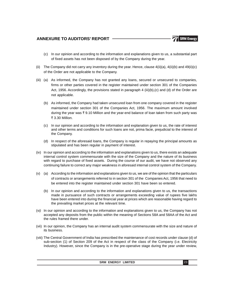### **ANNEXURE TO AUDITORS' REPORT**



- (c) In our opinion and according to the information and explanations given to us, a substantial part of fixed assets has not been disposed of by the Company during the year.
- (ii) The Company did not carry any inventory during the year. Hence, clause 4(ii)(a), 4(ii)(b) and 49(ii)(c) of the Order are not applicable to the Company.
- (iii) (a) As informed, the Company has not granted any loans, secured or unsecured to companies, firms or other parties covered in the register maintained under section 301 of the Companies Act, 1956. Accordingly, the provisions stated in paragraph 4 (iii)(b),(c) and (d) of the Order are not applicable.
	- (b) As informed, the Company had taken unsecured loan from one company covered in the register maintained under section 301 of the Companies Act, 1956. The maximum amount involved during the year was ₹ 9.10 Million and the year-end balance of loan taken from such party was ₹ 3.30 Million.
	- (c) In our opinion and according to the information and explanation given to us, the rate of interest and other terms and conditions for such loans are not, prima facie, prejudicial to the interest of the Company.
	- (d) In respect of the aforesaid loans, the Company is regular in repaying the principal amounts as stipulated and has been regular in payment of interest.
- (iv) In our opinion and according to the information and explanations given to us, there exists an adequate internal control system commensurate with the size of the Company and the nature of its business with regard to purchase of fixed assets. During the course of our audit, we have not observed any continuing failure to correct any major weakness in aforesaid internal control system of the Company.
- (v) (a) According to the information and explanations given to us, we are of the opinion that the particulars of contracts or arrangements referred to in section 301 of the Companies Act, 1956 that need to be entered into the register maintained under section 301 have been so entered.
	- (b) In our opinion and according to the information and explanations given to us, the transactions made in pursuance of such contracts or arrangements exceeding value of rupees five lakhs have been entered into during the financial year at prices which are reasonable having regard to the prevailing market prices at the relevant time.
- (vi*)* In our opinion and according to the information and explanations given to us, the Company has not accepted any deposits from the public within the meaning of Sections 58A and 58AA of the Act and the rules framed there under.
- (vii) In our opinion, the Company has an internal audit system commensurate with the size and nature of its business.
- (viii) The Central Government of India has prescribed the maintenance of cost records under clause (d) of sub-section (1) of Section 209 of the Act in respect of the class of the Company (i.e. Electricity Industry). However, since the Company is in the pre-operative stage during the year under review,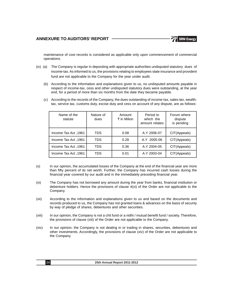maintenance of cost records is considered as applicable only upon commencement of commercial operations.

- (ix) (a) The Company is regular in depositing with appropriate authorities undisputed statutory dues of income-tax. As informed to us, the provisions relating to employees state insurance and provident fund are not applicable to the Company for the year under audit.
	- (b) According to the information and explanations given to us, no undisputed amounts payable in respect of income-tax, cess and other undisputed statutory dues were outstanding, at the year end, for a period of more than six months from the date they became payable.
	- (c) According to the records of the Company, the dues outstanding of income-tax, sales-tax, wealthtax, service tax, customs duty, excise duty and cess on account of any dispute, are as follows:

| Name of the<br>statute | Nature of<br>dues | Amount<br>₹ in Milion | Period to<br>which the<br>amount relates | Forum where<br>dispute<br>is pending |
|------------------------|-------------------|-----------------------|------------------------------------------|--------------------------------------|
| 1961, Income Tax Act   | TDS               | 0.08                  | A.Y 2006-07                              | CIT(Appeals)                         |
| 1961, Income Tax Act   | TDS               | 0.28                  | A.Y 2005-06                              | CIT(Appeals)                         |
| 1961, Income Tax Act   | TDS               | 0.36                  | A.Y 2004-05                              | CIT(Appeals)                         |
| 1961, Income Tax Act   | TDS               | 0.01                  | A.Y 2003-04                              | CIT(Appeals)                         |

- (x) In our opinion, the accumulated losses of the Company at the end of the financial year are more than fifty percent of its net worth. Further, the Company has incurred cash losses during the financial year covered by our audit and in the immediately preceding financial year.
- (xi) The Company has not borrowed any amount during the year from banks, financial institution or debenture holders. Hence the provisions of clause  $4(xi)$  of the Order are not applicable to the Company.
- (xii) According to the information and explanations given to us and based on the documents and records produced to us, the Company has not granted loans & advances on the basis of security by way of pledge of shares, debentures and other securities.
- (xiii) In our opinion, the Company is not a chit fund or a nidhi / mutual benefit fund / society. Therefore, the provisions of clause (xiii) of the Order are not applicable to the Company.
- (xiv) In our opinion, the Company is not dealing in or trading in shares, securities, debentures and other investments. Accordingly, the provisions of clause (xiv) of the Order are not applicable to the Company.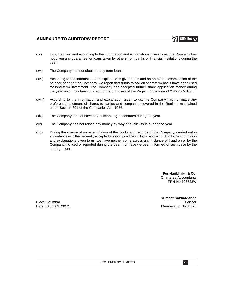

- (xv) In our opinion and according to the information and explanations given to us, the Company has not given any guarantee for loans taken by others from banks or financial institutions during the year.
- (xvi) The Company has not obtained any term loans.
- (xvii) According to the information and explanations given to us and on an overall examination of the balance sheet of the Company, we report that funds raised on short-term basis have been used for long-term investment. The Company has accepted further share application money during the year which has been utilized for the purposes of the Project to the tune of  $\bar{\tau}$  45.20 Million.
- (xviii) According to the information and explanation given to us, the Company has not made any preferential allotment of shares to parties and companies covered in the Register maintained under Section 301 of the Companies Act, 1956.
- (xix) The Company did not have any outstanding debentures during the year.
- (xx) The Company has not raised any money by way of public issue during the year.
- (xxi) During the course of our examination of the books and records of the Company, carried out in accordance with the generally accepted auditing practices in India, and according to the information and explanations given to us, we have neither come across any instance of fraud on or by the Company, noticed or reported during the year, nor have we been informed of such case by the management.

**For Haribhakti & Co.** Chartered Accountants FRN No.103523W

Place : Mumbai. Date : April 09, 2012. **Sumant Sakhardande Partner** Membership No.34828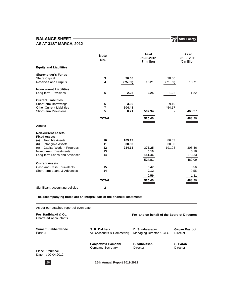### **BALANCE SHEET AS AT 31ST MARCH, 2012**

|                                                                                                                  | <b>Note</b><br>No. |                        | As at<br>31.03.2012<br>$\bar{\tau}$ million |                  | As at<br>31.03.2011<br>₹ million   |
|------------------------------------------------------------------------------------------------------------------|--------------------|------------------------|---------------------------------------------|------------------|------------------------------------|
| <b>Equity and Liabilities</b>                                                                                    |                    |                        |                                             |                  |                                    |
| <b>Shareholder's Funds</b><br><b>Share Capital</b><br>Reserves and Surplus                                       | 3<br>4             | 90.60<br>(75.39)       | 15.21                                       | 90.60<br>(71.89) | 18.71                              |
| <b>Non-current Liabilities</b><br>Long-term Provisions                                                           | 5                  | 2.25                   | 2.25                                        | 1.22             | 1.22                               |
| <b>Current Liabilities</b><br>Short-term Borrowings<br><b>Other Current Liabilities</b><br>Short-term Provisions | 6<br>7<br>5        | 3.30<br>504.43<br>0.21 | 507.94                                      | 9.10<br>454.17   | 463.27                             |
| <b>Assets</b>                                                                                                    | <b>TOTAL</b>       |                        | 525.40                                      |                  | 483.20                             |
| <b>Non-current Assets</b><br><b>Fixed Assets</b><br><b>Tangible Assets</b><br>(a)<br>Intangible Assets<br>(b)    | 10<br>11           | 109.12<br>30.00        |                                             | 86.53<br>30.00   |                                    |
| Capital Work-in-Progress<br>(c)<br>Non-current Investments<br>Long-term Loans and Advances                       | 12<br>13<br>14     | 234.13                 | 373.25<br>0.10<br>151.46<br>524.81          | 191.93           | 308.46<br>0.10<br>173.53<br>482.09 |
| <b>Current Assets</b><br>Cash and Cash Equivalents<br>Short-term Loans & Advances                                | 15<br>14           |                        | 0.47<br>0.12<br>0.59                        |                  | 0.56<br>0.55<br>1.11               |
|                                                                                                                  | <b>TOTAL</b>       |                        | 525.40                                      |                  | 483.20                             |
| Significant accounting policies                                                                                  | $\mathbf 2$        |                        |                                             |                  |                                    |

### **The accompanying notes are an integral part of the financial statements**

| As per our attached report of even date              |                                            |                                             |                           |  |  |
|------------------------------------------------------|--------------------------------------------|---------------------------------------------|---------------------------|--|--|
| For Haribhakti & Co.<br><b>Chartered Accountants</b> |                                            | For and on behalf of the Board of Directors |                           |  |  |
| <b>Sumant Sakhardande</b><br>Partner                 | S. R. Dakhera<br>VP (Accounts & Commerial) | D. Sundararajan<br>Managing Director & CEO  | Gagan Rastogi<br>Director |  |  |
| Place: Mumbai.<br>Date: 09.04.2012.                  | Sanjeevlata Samdani<br>Company Secretary   | P. Srinivasan<br>Director                   | S. Parab<br>Director      |  |  |
| 26                                                   | 25th Annual Report 2011-2012               |                                             |                           |  |  |

**TE** SRM Energy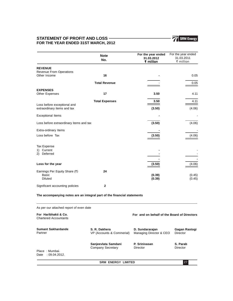### **STATEMENT OF PROFIT AND LOSS FOR THE YEAR ENDED 31ST MARCH, 2012**

|  | IM Energy<br>15 |
|--|-----------------|
|--|-----------------|

|                                                                 | <b>Note</b><br>No.    | For the year ended<br>31.03.2012<br>₹ million | For the year ended<br>31.03.2011<br>₹ million |
|-----------------------------------------------------------------|-----------------------|-----------------------------------------------|-----------------------------------------------|
| <b>REVENUE</b><br><b>Revenue From Operations</b>                |                       |                                               |                                               |
| Other Income                                                    | 16                    |                                               | 0.05                                          |
|                                                                 | <b>Total Revenue</b>  |                                               | 0.05                                          |
| <b>EXPENSES</b>                                                 | 17                    | 3.50                                          | 4.11                                          |
| Other Expenses                                                  |                       |                                               |                                               |
| Loss before exceptional and                                     | <b>Total Expenses</b> | 3.50                                          | 4.11                                          |
| extraordinary items and tax                                     |                       | (3.50)                                        | (4.06)                                        |
| <b>Exceptional Items</b>                                        |                       |                                               |                                               |
| Loss before extraordinary items and tax                         |                       | (3.50)                                        | (4.06)                                        |
| Extra-ordinary Items                                            |                       |                                               |                                               |
| Loss before Tax                                                 |                       | (3.50)                                        | (4.06)                                        |
| Tax Expense                                                     |                       |                                               |                                               |
| Current<br>1)<br>Deferred<br>2)                                 |                       |                                               |                                               |
|                                                                 |                       |                                               |                                               |
| Loss for the year                                               |                       | (3.50)                                        | (4.06)                                        |
| Earnings Per Equity Share (₹)<br><b>Basic</b><br><b>Diluted</b> | 24                    | (0.39)<br>(0.39)                              | (0.45)<br>(0.45)                              |
| Significant accounting policies                                 | $\overline{2}$        |                                               |                                               |

### **The accompanying notes are an integral part of the financial statements**

| As per our attached report of even date              |                                            |                                             |                           |
|------------------------------------------------------|--------------------------------------------|---------------------------------------------|---------------------------|
| For Haribhakti & Co.<br><b>Chartered Accountants</b> |                                            | For and on behalf of the Board of Directors |                           |
| <b>Sumant Sakhardande</b><br>Partner                 | S. R. Dakhera<br>VP (Accounts & Commerial) | D. Sundararajan<br>Managing Director & CEO  | Gagan Rastogi<br>Director |
| Place: Mumbai.<br>Date: 09.04.2012.                  | Sanjeevlata Samdani<br>Company Secretary   | P. Srinivasan<br>Director                   | S. Parab<br>Director      |
|                                                      | <b>SRM ENERGY LIMITED</b>                  |                                             | 27                        |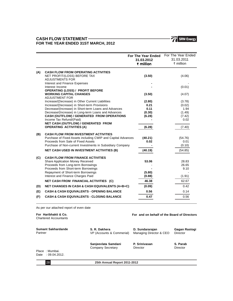### **CASH FLOW STATEMENT FOR THE YEAR ENDED 31ST MARCH, 2012**

|     |                                                                                                                                                                                                                                                                                       | For The Year Ended<br>31.03.2012<br>$\bar{\tau}$ million | For The Year Ended<br>31.03.2011<br>$\bar{\tau}$ million |
|-----|---------------------------------------------------------------------------------------------------------------------------------------------------------------------------------------------------------------------------------------------------------------------------------------|----------------------------------------------------------|----------------------------------------------------------|
| (A) | <b>CASH FLOW FROM OPERATING ACTIVITIES</b><br>NET PROFIT/(LOSS) BEFORE TAX<br><b>ADJUSTMENTS FOR</b>                                                                                                                                                                                  | (3.50)                                                   | (4.06)                                                   |
|     | Interest and Finance Expenses<br>Interest Income<br><b>OPERATING (LOSS) / PROFIT BEFORE</b>                                                                                                                                                                                           |                                                          | (0.01)                                                   |
|     | <b>WORKING CAPITAL CHANGES</b><br><b>ADJUSTMENT FOR</b>                                                                                                                                                                                                                               | (3.50)                                                   | (4.07)                                                   |
|     | Increase/(Decrease) in Other Current Liabilities<br>Increase/(Decrease) in Short-term Provisions<br>Decrease/(Increase) in Short-term Loans and Advances                                                                                                                              | (2.80)<br>0.21<br>0.11                                   | (3.78)<br>(0.02)<br>1.94                                 |
|     | Decrease/(Increase) in Long-term Loans and Advances<br>CASH (OUTFLOW) / GENERATED FROM OPERATIONS<br>Income Tax Refund/(Paid)<br>NET CASH (OUTFLOW) / GENERATED FROM                                                                                                                  | (0.30)<br>(6.28)                                         | (1.49)<br>(7.42)<br>0.02                                 |
|     | <b>OPERATING ACTIVITIES (A)</b>                                                                                                                                                                                                                                                       | (6.28)                                                   | (7.40)                                                   |
| (B) | <b>CASH FLOW FROM INVESTMENT ACTIVITIES</b><br>Purchase of Fixed Assets including CWIP and Capital Advances<br>Proceeds from Sale of Fixed Assets<br>Purchase of Non-current Investments in Subsidiary Company                                                                        | (40.21)<br>0.02                                          | (54.76)<br>0.01<br>(0.10)                                |
|     | <b>NET CASH USED IN INVESTMENT ACTIVITIES (B)</b>                                                                                                                                                                                                                                     | (40.19)                                                  | (54.85)                                                  |
| (C) | <b>CASH FLOW FROM FINANCE ACTIVITIES</b><br><b>Share Application Money Received</b><br>Proceeds from Long-term Borrowings<br>Proceeds from Short-term Borrowings<br>Repayment of Short-term Borrowings<br>Interest and Finance Charges Paid<br>NET CASH FROM FINANCIAL ACTIVITIES (C) | 53.06<br>(5.80)<br>(0.88)<br>46.38                       | 28.83<br>26.65<br>9.10<br>(1.91)<br>62.67                |
| (D) | <b>NET CHANGES IN CASH &amp; CASH EQUIVALENTS (A+B+C)</b>                                                                                                                                                                                                                             | (0.09)                                                   | 0.42                                                     |
| (E) | <b>CASH &amp; CASH EQUIVALENTS - OPENING BALANCE</b>                                                                                                                                                                                                                                  | 0.56                                                     | 0.14                                                     |
| (F) | <b>CASH &amp; CASH EQUIVALENTS - CLOSING BALANCE</b>                                                                                                                                                                                                                                  | 0.47                                                     | 0.56                                                     |
|     |                                                                                                                                                                                                                                                                                       |                                                          |                                                          |

As per our attached report of even date

| For Haribhakti & Co.<br><b>Chartered Accountants</b> |                              | For and on behalf of the Board of Directors |               |  |
|------------------------------------------------------|------------------------------|---------------------------------------------|---------------|--|
| <b>Sumant Sakhardande</b>                            | S. R. Dakhera                | D. Sundararajan                             | Gagan Rastogi |  |
| Partner                                              | VP (Accounts & Commerial)    | Managing Director & CEO                     | Director      |  |
| Place: Mumbai.                                       | Sanjeevlata Samdani          | P. Srinivasan                               | S. Parab      |  |
| Date: 09.04.2012.                                    | Company Secretary            | Director                                    | Director      |  |
| 28                                                   | 25th Annual Report 2011-2012 |                                             |               |  |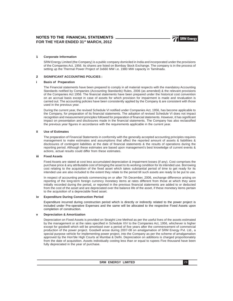



#### **1 Corporate Information**

SRM Energy Limited (the Company) is a public company domiciled in India and incorporated under the provisions of the Companies Act, 1956. Its shares are listed on Bombay Stock Exchange. The company is in the process of setting up the Thermal Power Project of 3x660 MW i.e. 1980 MW capacity in Tamilnadu.

#### **2 SIGNIFICANT ACCOUNTING POLICIES :**

#### **i Basis of Preparation**

The Financial statements have been prepared to comply in all material respects with the mandatory Accounting Standards notified by Companies (Accounting Standards) Rules, 2006 (as amended) & the relevant provisions of the Companies Act 1956. The financial statements have been prepared under the historical cost convention on an accrual basis except in case of assets for which provision for impairment is made and revaluation is carried out. The accounting policies have been consistently applied by the Company & are consistent with those used in the previous year.

During the current year, the revised Schedule VI notified under Companies Act, 1956, has become applicable to the Company, for preparation of its financial statements. The adoption of revised Schedule VI does not impact recognition and measurement principles followed for preparation of financial statements. However, it has significant impact on presentation and disclosures made in the financial statements. The Company has also reclassified the previous year figures in accordance with the requirements applicable in the current year.

#### **ii Use of Estimates**

The preparation of Financial Statements in conformity with the generally accepted accounting principles requires management to make estimates and assumptions that affect the reported amount of assets & liabilities & disclosures of contingent liabilities at the date of financial statements & the results of operations during the reporting period. Although these estimates are based upon management's best knowledge of current events & actions, actual results could differ from these estimates.

#### **iii Fixed Assets**

Fixed Assets are stated at cost less accumulated depreciation & impairment losses (if any). Cost comprises the purchase price & any attributable cost of bringing the asset to its working condition for its intended use. Borrowing cost relating to the acquisition of the fixed asset which takes substantial period of time to get ready for its intended use are also included to the extent they relate to the period till such assets are ready to be put to use.

In respect of accounting periods commencing on or after 7th December, 2006, exchange difference arising on reporting of the long-term foreign currency monetary items at rates different from those at which they were initially recorded during the period, or reported in the previous financial statements are added to or deducted from the cost of the asset and are depreciated over the balance life of the asset, if these monetary items pertain to the acquisition of a depreciable fixed asset.

#### **iv Expenditure During Construction Period**

Expenditure incurred during construction period which is directly or indirectly related to the power project is included under Pre-operative Expenses and the same will be allocated to the respective Fixed Assets upon completion of construction.

#### **v Depreciation & Amortization**

Depreciation on Fixed Assets is provided on Straight Line Method as per the useful lives of the assets estimated by the management or at the rates specified in Schedule XIV to the Companies Act, 1956, whichever is higher except for goodwill which will be amortised over a period of five years after the commencement of commercial production of the power project. Goodwill arose during 2007-08 on amalgamation of SRM Energy Pvt. Ltd., a special purpose vehicle for implementing power project, into the Company as per the scheme of amalgamation approved by the Hon'ble High Courts at Mumbai & Delhi. Depreciation on additions is charged proportionately from the date of acquisition. Assets individually costing less than or equal to rupees Five thousand have been fully depreciated in the year of purchase.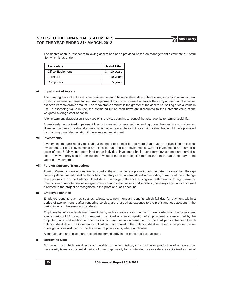### **SRM Energy**

### **NOTES TO THE FINANCIAL STATEMENTS FOR THE YEAR ENDED 31st MARCH, 2012**

The depreciation in respect of following assets has been provided based on management's estimate of useful life, which is as under:

| <b>Particulars</b>      | <b>Useful Life</b> |
|-------------------------|--------------------|
| <b>Office Equipment</b> | $3 - 10$ years     |
| Furniture               | 10 years           |
| Computers               | 5 years            |

#### **vi Impairment of Assets**

The carrying amounts of assets are reviewed at each balance sheet date if there is any indication of impairment based on internal/ external factors. An impairment loss is recognized wherever the carrying amount of an asset exceeds its recoverable amount. The recoverable amount is the greater of the assets net selling price & value in use. In assessing value in use, the estimated future cash flows are discounted to their present value at the weighted average cost of capital.

After impairment, depreciation is provided on the revised carrying amount of the asset over its remaining useful life.

A previously recognized impairment loss is increased or reversed depending upon changes in circumstances. However the carrying value after reversal is not increased beyond the carrying value that would have prevailed by charging usual depreciation if there was no impairment.

#### **vii Investments**

Investments that are readily realizable & intended to be held for not more than a year are classified as current investment. All other investments are classified as long term investments. Current investments are carried at lower of cost & fair value determined on an individual investment basis. Long term investments are carried at cost. However, provision for diminution in value is made to recognize the decline other than temporary in the value of investments.

#### **viii Foreign Currency Transactions**

Foreign Currency transactions are recorded at the exchange rate prevailing on the date of transaction. Foreign currency denominated asset and liabilities (monetary items) are translated into reporting currency at the exchange rates prevailing on the Balance Sheet date. Exchange difference arising on settlement of foreign currency transactions or restatement of foreign currency denominated assets and liabilities (monetary items) are capitalized if related to the project or recognized in the profit and loss account.

#### **ix Employee benefits**

Employee benefits such as salaries, allowances, non-monetary benefits which fall due for payment within a period of twelve months after rendering service, are charged as expense to the profit and loss account in the period in which the service is rendered.

Employee benefits under defined benefit plans, such as leave encashment and gratuity which fall due for payment after a period of 12 months from rendering serviced or after completion of employment, are measured by the projected unit credit method, on the basis of actuarial valuation carried out by the third party actuaries at each balance sheet date. The Companies obligations recognized in the Balance sheet represents the present value of obligations as reduced by the fair value of plan assets, where applicable.

Actuarial gains and losses are recognized immediately in the profit and loss account.

#### **x Borrowing Cost**

Borrowing cost which are directly attributable to the acquisition, construction or production of an asset that necessarily takes a substantial period of time to get ready for its intended use or sale are capitalized as part of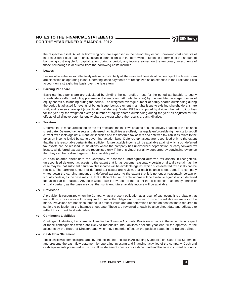### **NOTES TO THE FINANCIAL STATEMENTS FOR THE YEAR ENDED 31st MARCH, 2012**



the respective asset. All other borrowing cost are expensed in the period they occur. Borrowing cost consists of interest & other cost that an entity incurs in connection with the borrowing of funds. In determining the amount of borrowing cost eligible for capitalization during a period, any income earned on the temporary investments of those borrowings is deducted from the borrowing costs incurred.

#### **xi Leases**

Leases where the lessor effectively retains substantially all the risks and benefits of ownership of the leased item are classified as operating lease. Operating lease payments are recognized as an expense in the Profit and Loss account on a straight-line basis over the lease term.

#### **xii Earning Per share**

Basic earnings per share are calculated by dividing the net profit or loss for the period attributable to equity shareholders (after deducting preference dividends and attributable taxes) by the weighted average number of equity shares outstanding during the period. The weighted average number of equity shares outstanding during the period is adjusted for events of bonus issue; bonus element in a rights issue to existing shareholders; share split; and reverse share split (consolidation of shares). Diluted EPS is computed by dividing the net profit or loss for the year by the weighted average number of equity shares outstanding during the year as adjusted for the effects of all dilutive potential equity shares, except where the results are anti-dilutive.

#### **xiii Taxation**

Deferred tax is measured based on the tax rates and the tax laws enacted or substantively enacted at the balance sheet date. Deferred tax assets and deferred tax liabilities are offset, if a legally enforceable right exists to set off current tax assets against current tax liabilities and the deferred tax assets and deferred tax liabilities relate to the taxes on income levied by same governing taxation laws. Deferred tax assets are recognised only to the extent that there is reasonable certainty that sufficient future taxable income will be available against which such deferred tax assets can be realised. In situations where the company has unabsorbed depreciation or carry forward tax losses, all deferred tax assets are recognised only if there is virtual certainty supported by convincing evidence that they can be realised against future taxable profits.

At each balance sheet date the Company re-assesses unrecognised deferred tax assets. It recognizes, unrecognised deferred tax assets to the extent that it has become reasonably certain or virtually certain, as the case may be that sufficient future taxable income will be available against which such deferred tax assets can be realised. The carrying amount of deferred tax assets are reviewed at each balance sheet date. The company writes-down the carrying amount of a deferred tax asset to the extent that it is no longer reasonably certain or virtually certain, as the case may be, that sufficient future taxable income will be available against which deferred tax asset can be realised. Any such write-down is reversed to the extent that it becomes reasonably certain or virtually certain, as the case may be, that sufficient future taxable income will be available.

#### **xiv Provisions**

A provision is recognized when the Company has a present obligation as a result of past event; it is probable that an outflow of resources will be required to settle the obligation, in respect of which a reliable estimate can be made. Provisions are not discounted to its present value and are determined based on best estimate required to settle the obligation at the balance sheet date. These are reviewed at each balance sheet date and adjusted to reflect the current best estimates.

#### **xv Contingent Liabilities**

Contingent Liabilities, if any, are disclosed in the Notes on Accounts. Provision is made in the accounts in respect of those contingencies which are likely to materialize into liabilities after the year end till the approval of the accounts by the Board of Directors and which have material effect on the position stated in the Balance Sheet.

#### **xvi Cash Flow Statement**

The cash flow statement is prepared by 'indirect method' set out in Accounting Standard 3 on "Cash Flow Statement" and presents the cash flow statement by operating investing and financing activities of the company. Cash and cash equivalents presented in the cash flow statement consists of cash on hand and balance in current accounts.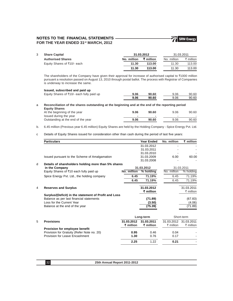### **NOTES TO THE FINANCIAL STATEMENTS FOR THE YEAR ENDED 31st MARCH, 2012**



| <b>Share Capital</b>        | 31.03.2012  |           | 31.03.2011  |           |
|-----------------------------|-------------|-----------|-------------|-----------|
| <b>Authorised Shares</b>    | No. million | ₹ million | No. million | ₹ million |
| Equity Shares of ₹10/- each | 11.30       | 113.00    | 11.30       | 113.00    |
|                             | 11.30       | 113.00    | 11.30       | 113.00    |

The shareholders of the Company have given their approval for increase of authorised capital to ₹1000 million pursuant a resolution passed on August 13, 2010 through postal ballot. The process with Registrar of Companies is underway to increase the same.

| Issued, subscribed and paid up            |      |       |      |       |
|-------------------------------------------|------|-------|------|-------|
| Equity Shares of ₹10/- each fully paid up | 9.06 | 90.60 | 9.06 | 90.60 |
|                                           | 9.06 | 90.60 | 9.06 | 90.60 |

a **Reconciliation of the shares outstanding at the beginning and at the end of the reporting period Equity Shares**

| At the beginning of the year       | 9.06 | 90.60 | 9.06 | 90.60 |
|------------------------------------|------|-------|------|-------|
| Issued during the year             |      |       |      |       |
| Outstanding at the end of the year | 9.06 | 90.60 | 9.06 | 90.60 |

b. 6.45 million (Previous year 6.45 million) Equity Shares are held by the Holding Company - Spice Energy Pvt. Ltd.

c Details of Equity Shares issued for consideration other than cash during the period of last five years:

| <b>Particulars</b>                                    |             | Year Ended | No. million | $\bar{\tau}$ million |
|-------------------------------------------------------|-------------|------------|-------------|----------------------|
|                                                       |             | 31.03.2012 |             |                      |
|                                                       |             | 31.03.2011 |             |                      |
|                                                       |             | 31.03.2010 |             |                      |
| Issued pursuant to the Scheme of Amalgamation         |             | 31.03.2009 | 6.00        | 60.00                |
|                                                       |             | 31.03.2008 |             |                      |
| Details of shareholders holding more than 5% shares   |             |            |             |                      |
| in the Company                                        |             | 31.03.2012 |             | 31.03.2011           |
| Equity Shares of ₹10 each fully paid up               | No. million | % holding  | No. million | % holding            |
| Spice Energy Pvt. Ltd., the holding company           | 6.45        | 71.19%     | 6.45        | 71.19%               |
|                                                       | 6.45        | 71.19%     | 6.45        | 71.19%               |
| <b>Reserves and Surplus</b>                           |             | 31.03.2012 |             | 31.03.2011           |
|                                                       |             | ₹ million  |             | ₹ million            |
| Surplus/(Deficit) in the statement of Profit and Loss |             |            |             |                      |
| Balance as per last financial statements              |             | (71.89)    |             | (67.83)              |
| Loss for the Current Year                             |             | (3.50)     |             | (4.06)               |
| Balance at the end of the year                        |             | (75.39)    |             | (71.89)              |
|                                                       |             |            |             |                      |

|    |                                                                              | Long-term               |                         | Short-term                         |           |  |
|----|------------------------------------------------------------------------------|-------------------------|-------------------------|------------------------------------|-----------|--|
| 5. | <b>Provisions</b>                                                            | 31.03.2012<br>₹ million | 31.03.2011<br>₹ million | 31.03.2012 31.03.2011<br>₹ million | ₹ million |  |
|    | Provision for employee benefit<br>Provision for Gratuity (Refer Note no. 20) | 0.95                    | 0.46                    | 0.04                               |           |  |
|    | Provision for Leave Encashment                                               | 1.30                    | 0.76                    | 0.17                               |           |  |
|    |                                                                              | 2.25                    | 1.22                    | 0.21                               |           |  |

32 **25th Annual Report 2011-2012**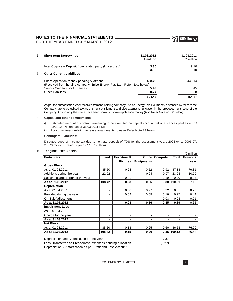### **NOTES TO THE FINANCIAL STATEMENTS**

SRM Energy

### **FOR THE YEAR ENDED 31st MARCH, 2012**

| 6 | <b>Short-term Borrowings</b>                                                                                          | 31.03.2012<br>₹ million | 31.03.2011<br>₹ million |
|---|-----------------------------------------------------------------------------------------------------------------------|-------------------------|-------------------------|
|   | Inter Corporate Deposit from related party (Unsecured)                                                                | 3.30<br>3.30            | 9.10<br>9.10            |
| 7 | <b>Other Current Liabilities</b>                                                                                      |                         |                         |
|   | Share Aplication Money pending Allotment<br>(Received from holding company, Spice Energy Pvt. Ltd.- Refer Note below) | 498.20                  | 445.14                  |
|   | <b>Sundry Creditors for Expenses</b>                                                                                  | 5.49                    | 8.45                    |
|   | <b>Other Liabilities</b>                                                                                              | 0.74                    | 0.58                    |
|   |                                                                                                                       | 504.43                  | 454.17                  |

As per the authorisation letter received from the holding company - Spice Energy Pvt. Ltd, money advanced by them to the Company are to be utilised towards its right entitlement and also against renunciation in the proposed right issue of the Company. Accordingly the same have been shown in share application money.(Also Refer Note no. 30 below)

#### 8 **Capital and other commitments**

- i) Estimated amount of contract remaining to be executed on capital account net of advances paid as at 31/ 03/2012 : Nil and as at 31/03/2011 : Nil
- ii) For commitment relating to lease arrangments, please Refer Note 23 below.

### 9 **Contingent Liabilities:**

Disputed dues of Income tax due to non/late deposit of TDS for the assessment years 2003-04 to 2006-07: ₹ 0.73 million (Previous year - ₹ 1.07 million)

#### **10 Tangible Fixed Assets**

|                                                 |                          |                              |                   |          |                          | र million       |
|-------------------------------------------------|--------------------------|------------------------------|-------------------|----------|--------------------------|-----------------|
| <b>Particulars</b>                              | Land                     | <b>Furniture &amp;</b>       | <b>Office</b>     | Computer | <b>Total</b>             | <b>Previous</b> |
|                                                 |                          | <b>Fixtures</b>              | <b>Equipments</b> |          |                          | vear            |
| <b>Gross Block</b>                              |                          |                              |                   |          |                          |                 |
| As at 01.04.2011                                | 85.50                    | 0.24                         | 0.52              | 0.92     | 87.18                    | 76.31           |
| Additions during the year                       | 22.92                    |                              | 0.04              | 0.07     | 23.03                    | 10.90           |
| Sales/(discarded) during the year               |                          | 0.01                         |                   | 0.19     | 0.20                     | 0.03            |
| As at 31.03.2012                                | 108.42                   | 0.23                         | 0.56              |          | $0.80$   110.01          | 87.18           |
| <b>Depreciation</b>                             |                          |                              |                   |          |                          |                 |
| As at 01.04.2011                                | ٠                        | 0.06                         | 0.27              | 0.32     | 0.65                     | 0.22            |
| Provided during the year                        | $\blacksquare$           | 0.02                         | 0.09              | 0.16     | 0.27                     | 0.44            |
| On Sale/adjustment                              | ٠                        |                              |                   | 0.03     | 0.03                     | 0.01            |
| As at 31.03.2012                                | $\blacksquare$           | 0.08                         | 0.36              | 0.45     | 0.89                     | 0.65            |
| <b>Impairment Loss</b>                          |                          |                              |                   |          |                          |                 |
| As at 01.04.2011                                | ٠                        | -                            | ٠                 | ۰        | ۰                        |                 |
| Charge for the year                             | $\overline{\phantom{a}}$ | $\qquad \qquad \blacksquare$ | -                 | -        |                          |                 |
| As at 31.03.2012                                | $\blacksquare$           | ۰                            | -                 | ۰        | $\overline{\phantom{0}}$ |                 |
| <b>Net Block</b>                                |                          |                              |                   |          |                          |                 |
| As at 01.04.2011                                | 85.50                    | 0.18                         | 0.25              | 0.60     | 86.53                    | 76.09           |
| As at 31.03.2012                                | 108.42                   | 0.15                         | 0.20              |          | $0.35$   109.12          | 86.53           |
| 0.27<br>Departure and Appointments for the user |                          |                              |                   |          |                          |                 |

| Depreciation and Amortisation for the year                    | 0.27   |
|---------------------------------------------------------------|--------|
| Less: Transferred to Preoperative expenses pending allocation | (0.27) |
| Depreciation & Amortisation as per Profit and Loss Account    |        |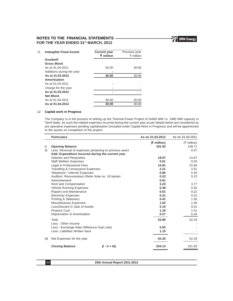#### SRM Energy 7

### **NOTES TO THE FINANCIAL STATEMENTS FOR THE YEAR ENDED 31st MARCH, 2012**

| 11 | <b>Intangible Fixed Assets</b> | <b>Current year</b><br>₹ million | Previous year<br>₹ million |
|----|--------------------------------|----------------------------------|----------------------------|
|    | Goodwill                       |                                  |                            |
|    | <b>Gross Block</b>             |                                  |                            |
|    | As at 01.04.2011               | 30.00                            | 30.00                      |
|    | Additions during the year      |                                  |                            |
|    | As at 31.03.2012               | 30.00                            | 30.00                      |
|    | Amortisation                   |                                  |                            |
|    | As at 01.04.2011               |                                  |                            |
|    | Charge for the year            |                                  |                            |
|    | As at 31.03.2012               |                                  |                            |
|    | <b>Net Block</b>               |                                  |                            |
|    | As at 01.04.2011               | 30.00                            | 30.00                      |
|    | As at 01.04.2012               | 30.00                            | 30.00                      |

### 12 **Capital work in Progress**

The Company is in the process of setting up the Thermal Power Project of 3x660 MW i.e. 1980 MW capacity in Tamil Nadu. As such the related expenses incurred during the current year as per details below are considered as pre operative expenses pending capitalization (included under Capital Work in Progress) and will be apportioned to the assets on completion of the project:

|      | <b>Particulars</b>                                                                                           |                  | As on 31.03.2012      | As on 31.03.2011      |
|------|--------------------------------------------------------------------------------------------------------------|------------------|-----------------------|-----------------------|
| i)   | <b>Opening Balance</b>                                                                                       |                  | (₹ million)<br>191.93 | (₹ million)<br>139.71 |
| ii)  | Less: Reversal of expenses pertaining to previous years<br>Add: Expenditure incurred during the current year |                  |                       | 0.07                  |
|      | Salaries and Perquisites                                                                                     |                  | 19.07                 | 14.67                 |
|      | <b>Staff Welfare Expenses</b>                                                                                |                  | 0.01                  | 0.03                  |
|      | Legal & Professional Fees                                                                                    |                  | 14.91                 | 22.84                 |
|      | Travelling & Conveyance Expenses                                                                             |                  | 2.21                  | 4.51                  |
|      | Telephone / Internet Expenses                                                                                |                  | 0.60                  | 0.40                  |
|      | Auditors' Remuneration (Refer Note no. 18 below)                                                             |                  | 0.22                  | 0.22                  |
|      | Advertisement                                                                                                |                  | 0.01                  |                       |
|      | Rent and Compensation                                                                                        |                  | 3.23                  | 3.77                  |
|      | <b>Vehicle Running Expenses</b>                                                                              |                  | 0.38                  | 0.30                  |
|      | Repairs and Maintenance                                                                                      |                  | 0.01                  | 0.22                  |
|      | <b>Electricity Expenses</b>                                                                                  |                  | 0.21                  | 0.31                  |
|      | Printing & Stationery                                                                                        |                  | 0.41                  | 1.50                  |
|      | Miscellaneous Expenses                                                                                       |                  | 1.02                  | 1.56                  |
|      | Loss/Discard in Sale of Assets                                                                               |                  | 0.15                  | 0.01                  |
|      | Finance Cost                                                                                                 |                  | 1.19                  | 1.51                  |
|      | Depreciation & Amortisation                                                                                  |                  | 0.27                  | 0.44                  |
|      | Total                                                                                                        |                  | 43.90                 | 52.29                 |
|      | Less: Other Income                                                                                           |                  |                       |                       |
|      | Less: Exchange Rate Difference Gain (net)                                                                    |                  | 0.55                  |                       |
|      | Less: Liabilities Written back                                                                               |                  | 1.15                  |                       |
| iii) | Net Expenses for the year                                                                                    |                  | 42.20                 | 52.29                 |
|      | <b>Closing Balance</b>                                                                                       | $(i - ii + iii)$ | 234.13                | 191.93                |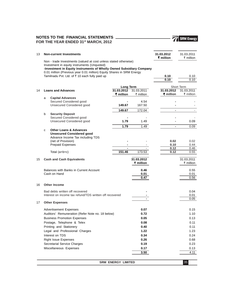### **NOTES TO THE FINANCIAL STATEMENTS FOR THE YEAR ENDED 31st MARCH, 2012**



| 13 |   | <b>Non-current Investments</b>                                                                                                                                                                                                                                                                                     |                           |                         | 31.03.2012<br>₹ million  | 31.03.2011<br>₹ million |
|----|---|--------------------------------------------------------------------------------------------------------------------------------------------------------------------------------------------------------------------------------------------------------------------------------------------------------------------|---------------------------|-------------------------|--------------------------|-------------------------|
|    |   | Non - trade Investments (valued at cost unless stated otherwise)<br>Investment in equity instruments (Unquoted)<br>-Investment in Equity Instruments of Wholly Owned Subsidiary Company<br>0.01 million (Previous year 0.01 million) Equity Shares in SRM Energy<br>Tamilnadu Pvt. Ltd. of ₹ 10 each fully paid up |                           |                         | 0.10                     | 0.10                    |
|    |   |                                                                                                                                                                                                                                                                                                                    |                           |                         | 0.10                     | 0.10                    |
|    |   |                                                                                                                                                                                                                                                                                                                    | Long Term                 |                         |                          | Short Term              |
| 14 |   | <b>Loans and Advances</b>                                                                                                                                                                                                                                                                                          | 31.03.2012                | 31.03.2011              | 31.03.2012               | 31.03.2011              |
|    |   |                                                                                                                                                                                                                                                                                                                    | ₹ million                 | ₹ million               | ₹ million                | ₹ million               |
|    | a | <b>Capital Advances</b><br>Secured Considered good                                                                                                                                                                                                                                                                 |                           | 4.54                    |                          |                         |
|    |   | Unsecured Considered good                                                                                                                                                                                                                                                                                          | 149.67                    | 167.50                  |                          |                         |
|    |   |                                                                                                                                                                                                                                                                                                                    | 149.67                    | 172.04                  | $\overline{\phantom{0}}$ |                         |
|    | b | <b>Security Deposit</b>                                                                                                                                                                                                                                                                                            |                           |                         |                          |                         |
|    |   | Secured Considered good                                                                                                                                                                                                                                                                                            |                           |                         |                          |                         |
|    |   | Unsecured Considered good                                                                                                                                                                                                                                                                                          | 1.79                      | 1.49                    |                          | 0.09                    |
|    |   |                                                                                                                                                                                                                                                                                                                    | 1.79                      | 1.49                    | $\overline{\phantom{a}}$ | 0.09                    |
|    | C | <b>Other Loans &amp; Advances</b><br><b>Unsecured Considered good</b><br>Advance Income Tax including TDS                                                                                                                                                                                                          |                           |                         |                          |                         |
|    |   | (net of Provision)                                                                                                                                                                                                                                                                                                 |                           |                         | 0.02                     | 0.02                    |
|    |   | <b>Prepaid Expenses</b>                                                                                                                                                                                                                                                                                            |                           |                         | 0.10<br>0.12             | 0.44<br>0.46            |
|    |   | Total $(a+b+c)$                                                                                                                                                                                                                                                                                                    | 151.46                    | 173.53                  | 0.12                     | 0.55                    |
|    |   |                                                                                                                                                                                                                                                                                                                    |                           |                         |                          |                         |
| 15 |   | <b>Cash and Cash Equivalents</b>                                                                                                                                                                                                                                                                                   |                           | 31.03.2012<br>₹ million |                          | 31.03.2011<br>₹ million |
|    |   | Balances with Banks in Current Account<br>Cash on Hand                                                                                                                                                                                                                                                             |                           | 0.46<br>0.01<br>0.47    |                          | 0.55<br>0.01<br>0.56    |
| 16 |   | <b>Other Income</b>                                                                                                                                                                                                                                                                                                |                           |                         |                          |                         |
|    |   | Bad debts written off recovered                                                                                                                                                                                                                                                                                    |                           |                         |                          | 0.04                    |
|    |   | Interest on income tax refund/TDS written off recovered                                                                                                                                                                                                                                                            |                           |                         |                          | 0.01                    |
| 17 |   | <b>Other Expenses</b>                                                                                                                                                                                                                                                                                              |                           |                         |                          | 0.05                    |
|    |   | <b>Advertisement Expenses</b>                                                                                                                                                                                                                                                                                      |                           | 0.07                    |                          | 0.15                    |
|    |   | Auditors' Remuneration (Refer Note no. 18 below)                                                                                                                                                                                                                                                                   |                           | 0.72                    |                          | 1.10                    |
|    |   | <b>Business Promotion Expenses</b>                                                                                                                                                                                                                                                                                 |                           | 0.05                    |                          | 0.13                    |
|    |   | Postage, Telephone & Telex                                                                                                                                                                                                                                                                                         |                           | 0.08                    |                          | 0.11                    |
|    |   | Printing and Stationery                                                                                                                                                                                                                                                                                            |                           | 0.40                    |                          | 0.11                    |
|    |   | Legal and Professional Charges                                                                                                                                                                                                                                                                                     |                           | 1.22                    |                          | 1.23                    |
|    |   | Interest on TDS                                                                                                                                                                                                                                                                                                    |                           | 0.34                    |                          | 0.24                    |
|    |   | <b>Right Issue Expenses</b>                                                                                                                                                                                                                                                                                        |                           | 0.26                    |                          | 0.68                    |
|    |   | Secretarial Service Charges                                                                                                                                                                                                                                                                                        |                           | 0.19                    |                          | 0.23                    |
|    |   | Miscellaneous Expenses                                                                                                                                                                                                                                                                                             |                           | 0.17                    |                          | 0.13                    |
|    |   |                                                                                                                                                                                                                                                                                                                    |                           | 3.50                    |                          | 4.11                    |
|    |   |                                                                                                                                                                                                                                                                                                                    | <b>SRM ENERGY LIMITED</b> |                         |                          | 35                      |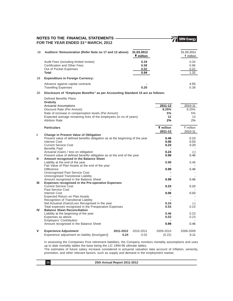# **NOTES TO THE FINANCIAL STATEMENTS**

SRM Energy 7

**FOR THE YEAR ENDED 31st MARCH, 2012**

| 18           | Auditors' Remuneration (Refer Note no 17 and 12 above)                                                                                                                                                      |                   | 31.03.2012<br>₹ million      |                      | 31.03.2011<br>₹ million      |
|--------------|-------------------------------------------------------------------------------------------------------------------------------------------------------------------------------------------------------------|-------------------|------------------------------|----------------------|------------------------------|
|              | Audit Fees (including limited review)<br><b>Certification and Other Fees</b><br>Out of Pocket Expenses<br><b>Total</b>                                                                                      |                   | 0.34<br>0.58<br>0.02<br>0.94 |                      | 0.34<br>0.96<br>0.02<br>1.32 |
| 19           | <b>Expenditure in Foreign Currency:</b>                                                                                                                                                                     |                   |                              |                      |                              |
|              | Advance against capital contracts<br><b>Travelling Expenses</b>                                                                                                                                             |                   | 0.20                         |                      | 4.55<br>0.38                 |
| 20           | Disclosure of "Employee Benefits" as per Accounting Standard 15 are as follows:                                                                                                                             |                   |                              |                      |                              |
|              | <b>Defined Benefits Plans</b><br>Gratuity                                                                                                                                                                   |                   |                              |                      |                              |
|              | <b>Actuarial Assumptions</b>                                                                                                                                                                                |                   |                              | 2011-12              | 2010-11                      |
|              | Discount Rate (Per Annum)<br>Rate of increase in compensation levels (Per Annum)                                                                                                                            |                   |                              | 8.25%<br>5%          | 8.25%<br>5%                  |
|              | Expected average remaining lives of the employees (in no of years)                                                                                                                                          |                   |                              | 12                   | 13                           |
|              | <b>Attrition Rate</b>                                                                                                                                                                                       |                   |                              | 2%                   | 2%                           |
|              | <b>Particulars</b>                                                                                                                                                                                          |                   |                              | ₹ million<br>2011-12 | ₹ million<br>2010-11         |
| L            | <b>Change in Present Value of Obligation</b><br>Present value of defined benefits obligation as at the beginning of the year<br><b>Interest Cost</b><br><b>Current Service Cost</b><br><b>Benefits Paid</b> |                   |                              | 0.46<br>0.06<br>0.23 | 0.23<br>0.03<br>0.20         |
| Ш            | Actuarial (Gain) / loss on obligation<br>Present value of defined benefits obligation as at the end of the year<br>Amount recognised in the Balance Sheet                                                   |                   |                              | 0.24<br>0.99         | $(\cdot)$<br>0.46            |
|              | Liability at the end of the year                                                                                                                                                                            |                   |                              | 0.99                 | 0.46                         |
|              | Fair Value of Plan Assets at the end of the year<br><b>Difference</b>                                                                                                                                       |                   |                              | 0.99                 | 0.46                         |
|              | <b>Unrecognised Past Service Cost</b>                                                                                                                                                                       |                   |                              |                      |                              |
| Ш            | Unrecognised Transitional Liability<br>Amount recognised in the Balance Sheet<br><b>Expenses recognised in the Pre-operative Expenses</b>                                                                   |                   |                              | 0.99                 | 0.46                         |
|              | <b>Current Service Cost</b>                                                                                                                                                                                 |                   |                              | 0.23                 | 0.20                         |
|              | Past Service Cost<br><b>Interest Cost</b>                                                                                                                                                                   |                   |                              | 0.06                 | 0.03                         |
|              | <b>Expected Return on Plan Assets</b>                                                                                                                                                                       |                   |                              |                      |                              |
| IV           | Recognition of Transitional Liability<br>Net Actuarial (Gain)/Loss Recognised in the year<br>Total expenses recognised in the Preoperative Expenses<br><b>Balance Sheet Reconciliation</b>                  |                   |                              | 0.24<br>0.53         | $(\text{-})$<br>0.23         |
|              | Liability at the beginning of the year<br>Expenses as above                                                                                                                                                 |                   |                              | 0.46<br>0.53         | 0.23<br>0.23                 |
|              | <b>Employers' Contribution</b><br>Amount recognised in the Balance Sheet                                                                                                                                    |                   |                              | 0.99                 | 0.46                         |
| $\mathsf{v}$ | <b>Experience Adjustment</b><br>Experience adjustment on liability {loss/(gain)}                                                                                                                            | 2011-2012<br>0.24 | 2010-2011<br>0.02            | 2009-2010<br>(0.22)  | 2008-2009<br>0.11            |

In assessing the Companies Post retirement liabilities, the Company monitors mortality assumptions and uses up to date mortality tables the base being the LIC 1994-96 ultimate tables.

The estimates of future salary increase considered in actuarial valuation take account of inflation, seniority, promotion, and other relevant factors, such as supply and demand in the employment market.

36 **25th Annual Report 2011-2012**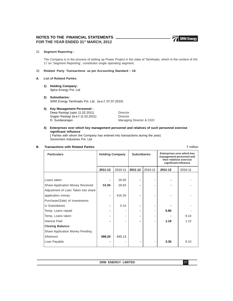### **NOTES TO THE FINANCIAL STATEMENTS FOR THE YEAR ENDED 31st MARCH, 2012**



#### 21 **Segment Reporting :**

The Company is in the process of setting up Power Project in the state of Tamilnadu, which in the context of AS-17 on 'Segment Reporting', constitutes single operating segment.

#### 22 **Related Party Transactions as per Accounting Standard – 18:**

#### **A. List of Related Parties**

- **1) Holding Company:** Spice Energy Pvt. Ltd
- **2) Subsidiaries:** SRM Energy Tamilnadu Pvt. Ltd. (w.e.f. 07.07.2010)
- **3) Key Management Personnel :** Deep Rastogi (upto 11.02.2011) Director Gagan Rastogi (w.e.f 11.02.2011) Director

D. Sundararajan Managing Director & CEO

**4) Enterprises over which key management personnel and relatives of such personnel exercise significant influence**

[ Parties with whom the Company has entered into transactions during the year] Sovinchem Industries Pvt. Ltd.

### **B.** Transactions with Related Parties **by the contract of the contract of the contract of the contract of the contract of the contract of the contract of the contract of the contract of the contract of the contract of the**

**Enterprises over which key management personnel and their relatives exercise significant influence** Particulars **Molding Company Subsidiaries 2011-12** 2010-11 **2011-12** 2010-11 **2011-12** 2010-11 Loans taken **-** 26.65 **-** - **-** - Share Application Money Received **53.06** 28.83 **-** - **-** - Adjustment of Loan Taken into share application money **-** 416.30 **-** - **-** - Purchase/(Sale) of Investments in Subsidiaries **-** 0.10 **-** - **-** - Temp. Loans repaid **-** - **-** - **5.80** - Temp. Loans taken **-** - **-** - **-** 9.10 Interest Paid **-** - **-** - **1.19** 1.22 **Closing Balance:** Share Application Money Pending Allotment **498.20** 445.13 Loan Payable **-** - **-** - **3.30** 9.10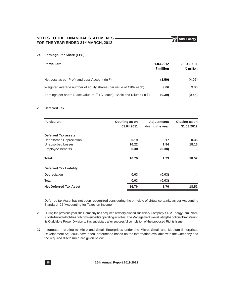**RIN Energy** 

### **NOTES TO THE FINANCIAL STATEMENTS FOR THE YEAR ENDED 31st MARCH, 2012**

### 24 **Earnings Per Share (EPS):**

| <b>Particulars</b>                                                                              | 31.03.2012<br>₹ million | 31.03.2011<br>₹ million |
|-------------------------------------------------------------------------------------------------|-------------------------|-------------------------|
| Net Loss as per Profit and Loss Account (in $\bar{z}$ )                                         | (3.50)                  | (4.06)                  |
| Weighted average number of equity shares (par value of $\bar{\tau}$ 10/- each)                  | 9.06                    | 9.06                    |
| Earnings per share (Face value of $\bar{\tau}$ 10/- each)- Basic and Diluted (in $\bar{\tau}$ ) | (0.39)                  | (0.45)                  |

#### 25 **Deferred Tax:**

| Opening as on<br>01.04.2011 | <b>Adjustments</b><br>during the year | Closing as on<br>31.03.2012 |
|-----------------------------|---------------------------------------|-----------------------------|
|                             |                                       |                             |
| 0.19                        | 0.17                                  | 0.36                        |
| 16.22                       | 1.94                                  | 18.16                       |
| 0.38                        | (0.38)                                |                             |
| 16.79                       | 1.73                                  | 18.52                       |
|                             |                                       |                             |
| 0.03                        | (0.03)                                |                             |
| 0.03                        | (0.03)                                |                             |
| 16.76                       | 1.76                                  | 18.52                       |
|                             |                                       |                             |

Deferred tax Asset has not been recognized considering the principle of virtual certainity as per Accounting Standard -22 'Accounting for Taxes on Income'.

26 During the previous year, the Company has acquired a wholly-owned subsidiary Company, SRM Energy Tamil Nadu Private limited which has not commenced its operating activities. The Management is evaluating the option of transferring its Cuddalore Power Division to this subsidiary after successful completion of the proposed Rights Issue.

27 Information relating to Micro and Small Enterprises under the Micro, Small and Medium Enterprises Develpoment Act, 2006 have been determined based on the information available with the Company and the required disclosures are given below.

#### 38 **25th Annual Report 2011-2012**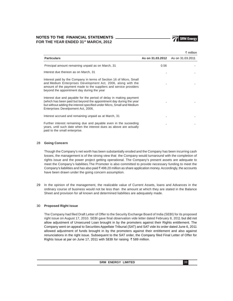**T** SRM Energy

### **NOTES TO THE FINANCIAL STATEMENTS FOR THE YEAR ENDED 31st MARCH, 2012**

|                                                                                                                                                                                                                                                            |                  | ₹ million        |
|------------------------------------------------------------------------------------------------------------------------------------------------------------------------------------------------------------------------------------------------------------|------------------|------------------|
| <b>Particulars</b>                                                                                                                                                                                                                                         | As on 31.03.2012 | As on 31,03,2011 |
| Principal amount remaining unpaid as on March, 31                                                                                                                                                                                                          | 0.56             |                  |
| Interest due thereon as on March, 31                                                                                                                                                                                                                       |                  |                  |
| Interest paid by the Company in terms of Section 16 of Micro, Small<br>and Medium Enterprises Development Act, 2006, along with the<br>amount of the payment made to the suppliers and service providers<br>beyond the appointment day during the year     |                  |                  |
| Interest due and payable for the period of delay in making payment<br>(which has been paid but beyond the appointment day during the year<br>but without adding the interest specified under Micro, Small and Medium<br>Enterprises Develpoment Act, 2006. |                  |                  |
| Interest accrued and remaining unpaid as at March, 31                                                                                                                                                                                                      |                  |                  |
| Further interest remaining due and payable even in the suceeding<br>years, until such date when the interest dues as above are actually<br>paid to the small enterprise.                                                                                   |                  |                  |

#### 28 **Going Concern**

Though the Company's net worth has been substantially eroded and the Company has been incurring cash losses, the management is of the strong view that the Company would turnaround with the completion of rights issue and the power project getting operational. The Company's present assets are adequate to meet the Company's liabilities.The Promoter is also committed to provide necessary funding to meet the Company's liabilities and has also paid  $\bar{\tau}$  498.20 million as share application money. Accordingly, the accounts have been drawn under the going concern assumption.

29 In the opinion of the management, the realizable value of Current Assets, loans and Advances in the ordinary course of business would not be less than the amount at which they are stated in the Balance Sheet and provision for all known and determined liabilities are adequately made.

#### 30 **Proposed Right Issue**

The Company had filed Draft Letter of Offer to the Security Exchange Board of India (SEBI) for its proposed right issue on August 17, 2010. SEBI gave final observation vide letter dated February 8, 2011 but did not allow adjustment of Unsecured Loan brought in by the promoters against their Rights entitlement. The Company went on appeal to Securities Appellate Tribunal (SAT) and SAT vide its order dated June 6, 2011 allowed adjustment of funds brought in by the promoters against their entitlement and also against renunciations in the right issue. Subsequent to the SAT order, the Company filed Final Letter of Offer for Rights Issue at par on June 17, 2011 with SEBI for raising  $\bar{\tau}$  589 million.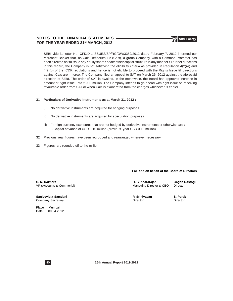### **NOTES TO THE FINANCIAL STATEMENTS FOR THE YEAR ENDED 31st MARCH, 2012**

SEBI vide its letter No. CFD/DIL/ISSUES/SP/RG/OW/3382/2012 dated February 7, 2012 informed our Merchant Banker that, as Cals Refineries Ltd.(Cals), a group Company, with a Common Promoter has been directed not to issue any equity shares or alter their capital structure in any manner till further directions in this regard, the Company is not satisfying the eligibility criteria as provided in Regulation 4(2)(a) and 4(2)(b) of the ICDR regulations and hence is not eligible to proceed with the Rights Issue till directions against Cals are in force. The Company filed an appeal to SAT on March 26, 2012 against the aforesaid direction of SEBI. The order of SAT is awaited. In the meanwhile, the Board has approved increase in amount of right issue upto  $\bar{\tau}$  900 million. The Company intends to go ahead with right issue on receiving favourable order from SAT or when Cals is exonerated from the charges whichever is earlier.

### 31 **Particulars of Derivative Instruments as at March 31, 2012 :**

- i) No derivative instruments are acquired for hedging purposes.
- ii) No derivative instruments are acquired for speculation purposes
- iii) Foreign currency exposures that are not hedged by derivative instruments or otherwise are : - Capital advance of USD 0.10 million (previous year USD 0.10 million)
- 32 Previous year figures have been regrouped and rearranged wherever necessary.
- 33 Figures are rounded off to the million.

### **For and on behalf of the Board of Directors**

**S. R. Dakhera Gagan Rastogi**<br>
VP (Accounts & Commerial) 
VP (Accounts & Commerial) **D. Sundararajan 
<b>D. Sundararajan** 
Managing Director & CEO 
Director VP (Accounts & Commerial)

**Sanjeevlata Samdani P. Srinivasan S. Parab** Company Secretary

Place : Mumbai. Date : 09.04.2012.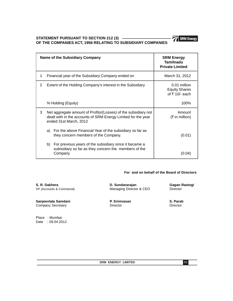

### **STATEMENT PURSUANT TO SECTION 212 (3) OF THE COMPANIES ACT, 1956 RELATING TO SUBSIDIARY COMPANIES**

|   |    | <b>Name of the Subsidiary Company</b>                                                                                                                     | <b>SRM Energy</b><br><b>Tamilnadu</b><br><b>Private Limited</b> |
|---|----|-----------------------------------------------------------------------------------------------------------------------------------------------------------|-----------------------------------------------------------------|
| 1 |    | Financial year of the Subsidiary Company ended on                                                                                                         | March 31, 2012                                                  |
| 2 |    | Extent of the Holding Company's interest in the Subsidiary                                                                                                | 0.01 million<br><b>Equity Shares</b><br>of ₹ 10/- each          |
|   |    | % Holding (Equity)                                                                                                                                        | 100%                                                            |
| 3 |    | Net aggregate amount of Profits/(Losses) of the subsidiary not<br>dealt with in the accounts of SRM Energy Limited for the year<br>ended 31st March, 2012 | Amount<br>$(3\overline{5})$ in million)                         |
|   | a) | For the above Financial Year of the subsidiary so far as<br>they concern members of the Company.                                                          | (0.01)                                                          |
|   | b) | For previous years of the subsidiary since it became a<br>subisidiary so far as they concern the members of the<br>Company                                | (0.04)                                                          |

### **For and on behalf of the Board of Directors**

**S. R. Dakhera D. Sundararajan D. Sundararajan Gagan Rastogi**<br>
VP (Accounts & Commerial) **D. Sundararajan Gagan Cagan Rastogi Director** Managing Director & CEO

**Sanjeevlata Samdani P. Srinivasan S. Parab**<br>
Company Secretary **P. Strinivasan S. Parab**<br>
Director **Director** Company Secretary **Director** Director

Place : Mumbai. Date : 09.04.2012.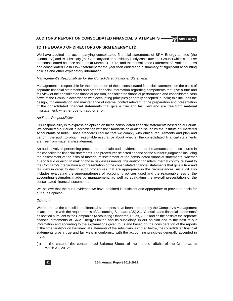### **AUDITORS' REPORT ON CONSOLIDATED FINANCIAL STATEMENTS**



### **TO THE BOARD OF DIRECTORS OF SRM ENERGY LTD.**

We have audited the accompanying consolidated financial statements of SRM Energy Limited (the "Company") and its subsidiary (the Company and its subsidiary jointly constitute "the Group") which comprise the consolidated balance sheet as at March 31, 2012, and the consolidated Statement of Profit and Loss and consolidated Cash Flow Statement for the year then ended and a summary of significant accounting policies and other explanatory information.

### *Management's Responsibility for the Consolidated Financial Statements*

Management is responsible for the preparation of these consolidated financial statements on the basis of separate financial statements and other financial information regarding components that give a true and fair view of the consolidated financial position, consolidated financial performance and consolidated cash flows of the Group in accordance with accounting principles generally accepted in India; this includes the design, implementation and maintenance of internal control relevant to the preparation and presentation of the consolidated financial statements that give a true and fair view and are free from material misstatement, whether due to fraud or error.

### *Auditors' Responsibility*

Our responsibility is to express an opinion on these consolidated financial statements based on our audit. We conducted our audit in accordance with the Standards on Auditing issued by the Institute of Chartered Accountants of India. Those standards require that we comply with ethical requirements and plan and perform the audit to obtain reasonable assurance about whether the consolidated financial statements are free from material misstatement.

An audit involves performing procedures to obtain audit evidence about the amounts and disclosures in the consolidated financial statements. The procedures selected depend on the auditors' judgment, including the assessment of the risks of material misstatement of the consolidated financial statements, whether due to fraud or error. In making those risk assessments, the auditor considers internal control relevant to the Company's preparation and presentation of the consolidated financial statements that give a true and fair view in order to design audit procedures that are appropriate in the circumstances. An audit also includes evaluating the appropriateness of accounting policies used and the reasonableness of the accounting estimates made by management, as well as evaluating the overall presentation of the consolidated financial statements.

We believe that the audit evidence we have obtained is sufficient and appropriate to provide a basis for our audit opinion.

### **Opinion**

We report that the consolidated financial statements have been prepared by the Company's Management in accordance with the requirements of Accounting Standard (AS) 21, "Consolidated financial statements" as notified pursuant to the Companies (Accounting Standards) Rules, 2006 and on the basis of the separate financial statements of SRM Energy Limited and its subsidiary. In our opinion and to the best of our information and according to the explanations given to us and based on the consideration of the reports of the other auditors on the financial statements of the subsidiary, as noted below, the consolidated financial statements give a true and fair view in conformity with the accounting principles generally accepted in India:

(a) in the case of the consolidated Balance Sheet, of the state of affairs of the Group as at March 31, 2012;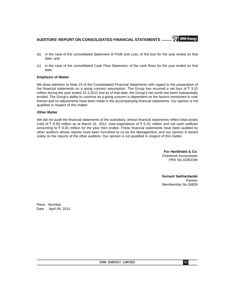### **AUDITORS' REPORT ON CONSOLIDATED FINANCIAL STATEMENTS**

- SRM Energy
- (b) in the case of the consolidated Statement of Profit and Loss, of the loss for the year ended on that date; and
- (c) in the case of the consolidated Cash Flow Statement, of the cash flows for the year ended on that date.

### **Emphasis of Matter**

We draw attention to Note 23 of the Consolidated Financial Statements with regard to the preparation of the financial statements on a going concern assumption. The Group has incurred a net loss of  $\bar{z}$  3.52 million during the year ended 31.3.2012 and as of that date, the Group's net worth has been substantially eroded. The Group's ability to continue as a going concern is dependent on the factors mentioned in note therein and no adjustments have been made in the accompanying financial statements. Our opinion is not qualified in respect of this matter.

### *Other Matter*

We did not audit the financial statements of the subsidiary, whose financial statements reflect total assets (net) of ₹ 0.06 million as at March 31, 2012, total expenditure of ₹ 0.01 million and net cash outflows amounting to  $\bar{\tau}$  0.01 million for the year then ended. These financial statements have been audited by other auditors whose reports have been furnished to us by the Management, and our opinion is based solely on the reports of the other auditors. Our opinion is not qualified in respect of this matter.

> **For Haribhakti & Co.** Chartered Accountants FRN No.103523W

> **Sumant Sakhardande** Partner Membership No.34828

Place : Mumbai. Date : April 09, 2012.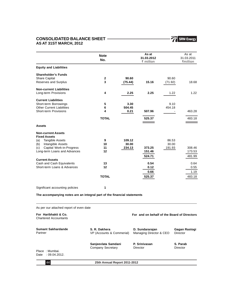### **AS AT 31ST MARCH, 2012 CONSOLIDATED BALANCE SHEET**

### **Equity and Liabilities Shareholder's Funds Share Capital 1999.60 2 90.60 90.60 90.60** Reserves and Surplus **3 (75.44) 15.16** (71.92) 18.68 **Non-current Liabilities** Long-term Provisions **4 2.25 2.25** 1.22 1.22 **Current Liabilities** Short-term Borrowings **5 5 3.30** 9.10<br>
Other Current Liabilities **6 504.45 15.18 9.10 Other Current Liabilities** Short-term Provisions **4 0.21 507.96** - 463.28 **TOTAL 525.37** 483.18 **Assets Non-current Assets Fixed Assets** (a) Tangible Assets **9** 109.12 86.53<br>
(b) Intangible Assets **9 10 30.00** 30.00 (b) Intangible Assets **10 10** 30.00<br>
(c) Capital Work-in-Progress **11** 234.13 373.25 (c) Capital Work-in-Progress **11 234.13 373.25** 191.93 308.46 Long-term Loans and Advances **12** 151.46 173.53 **524.71** 481.99 **Current Assets** Cash and Cash Equivalents **13 0.54** 0.64 Short-term Loans & Advances **12 0.12** 0.55 **0.66** 1.19 **TOTAL 525.37** 483.18 Significant accounting policies **1 Note No. As at 31.03.2012**  $\bar{\tau}$  million As at 31.03.2011 `million

#### **The accompanying notes are an integral part of the financial statements**

| As per our attached report of even date              |                                            |                                             |                           |
|------------------------------------------------------|--------------------------------------------|---------------------------------------------|---------------------------|
| For Haribhakti & Co.<br><b>Chartered Accountants</b> |                                            | For and on behalf of the Board of Directors |                           |
| Sumant Sakhardande<br>Partner                        | S. R. Dakhera<br>VP (Accounts & Commerial) | D. Sundararajan<br>Managing Director & CEO  | Gagan Rastogi<br>Director |
| Place: Mumbai.<br>Date: 09.04.2012.                  | Sanjeevlata Samdani<br>Company Secretary   | P. Srinivasan<br>Director                   | S. Parab<br>Director      |
| 44                                                   | 25th Annual Report 2011-2012               |                                             |                           |

### **SRM Energy**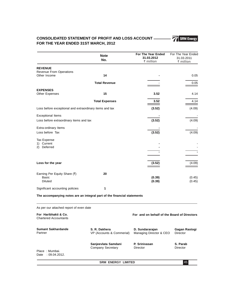## CONSOLIDATED STATEMENT OF PROFIT AND LOSS ACCOUNT **AND A SEA ASSESS** SRM Energy **FOR THE YEAR ENDED 31ST MARCH, 2012**



|                                                                         | <b>Note</b><br>No.        | For The Year Ended<br>31.03.2012<br>₹ million | For The Year Ended<br>31.03.2011<br>₹ million |  |
|-------------------------------------------------------------------------|---------------------------|-----------------------------------------------|-----------------------------------------------|--|
| <b>REVENUE</b>                                                          |                           |                                               |                                               |  |
| <b>Revenue From Operations</b>                                          |                           |                                               |                                               |  |
| Other Income                                                            | 14                        |                                               | 0.05                                          |  |
|                                                                         | <b>Total Revenue</b>      |                                               | 0.05                                          |  |
| <b>EXPENSES</b>                                                         |                           |                                               |                                               |  |
| <b>Other Expenses</b>                                                   | 15                        | 3.52                                          | 4.14                                          |  |
|                                                                         | <b>Total Expenses</b>     | 3.52                                          | 4.14                                          |  |
| Loss before exceptional and extraordinary items and tax                 |                           | (3.52)                                        | (4.09)                                        |  |
| <b>Exceptional Items</b>                                                |                           |                                               |                                               |  |
| Loss before extraordinary items and tax                                 |                           | (3.52)                                        | (4.09)                                        |  |
|                                                                         |                           |                                               |                                               |  |
| Extra-ordinary Items<br>Loss before Tax                                 |                           |                                               |                                               |  |
|                                                                         |                           | (3.52)                                        | (4.09)                                        |  |
| Tax Expense                                                             |                           |                                               |                                               |  |
| 1) Current<br>2) Deferred                                               |                           |                                               |                                               |  |
|                                                                         |                           |                                               |                                               |  |
|                                                                         |                           |                                               |                                               |  |
| Loss for the year                                                       |                           | (3.52)                                        | (4.09)                                        |  |
|                                                                         |                           |                                               |                                               |  |
| Earning Per Equity Share $(\bar{x})$                                    | 20                        |                                               |                                               |  |
| Basic                                                                   |                           | (0.39)                                        | (0.45)                                        |  |
| Diluted                                                                 |                           | (0.39)                                        | (0.45)                                        |  |
| Significant accounting policies                                         | 1                         |                                               |                                               |  |
| The accompanying notes are an integral part of the financial statements |                           |                                               |                                               |  |
| As per our attached report of even date                                 |                           |                                               |                                               |  |
|                                                                         |                           |                                               |                                               |  |
| For Haribhakti & Co.<br><b>Chartered Accountants</b>                    |                           | For and on behalf of the Board of Directors   |                                               |  |
| <b>Sumant Sakhardande</b>                                               | S. R. Dakhera             | D. Sundararajan                               | Gagan Rastogi                                 |  |
| Partner                                                                 | VP (Accounts & Commerial) | Managing Director & CEO                       | Director                                      |  |
|                                                                         | Sanjeevlata Samdani       | P. Srinivasan                                 | S. Parab                                      |  |
|                                                                         | <b>Company Secretary</b>  | <b>Director</b>                               | <b>Director</b>                               |  |
| Place: Mumbai.<br>:09.04.2012.<br>Date                                  |                           |                                               |                                               |  |
|                                                                         | <b>SRM ENERGY LIMITED</b> |                                               | 45                                            |  |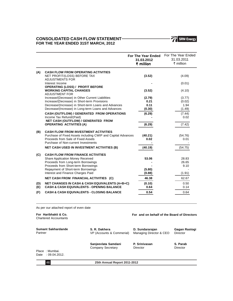### **CONSOLIDATED CASH FLOW STATEMENT FOR THE YEAR ENDED 31ST MARCH, 2012**

|            |                                                                                                                                                                                                                                      | <b>For The Year Ended</b><br>31.03.2012<br>$\bar{\tau}$ million | For The Year Ended<br>31.03.2011<br>₹ million |
|------------|--------------------------------------------------------------------------------------------------------------------------------------------------------------------------------------------------------------------------------------|-----------------------------------------------------------------|-----------------------------------------------|
| (A)        | <b>CASH FLOW FROM OPERATING ACTIVITIES</b><br>NET PROFIT/(LOSS) BEFORE TAX<br><b>ADJUSTMENTS FOR</b>                                                                                                                                 | (3.52)                                                          | (4.09)                                        |
|            | Interest Income<br><b>OPERATING (LOSS) / PROFIT BEFORE</b>                                                                                                                                                                           |                                                                 | (0.01)                                        |
|            | <b>WORKING CAPITAL CHANGES</b><br><b>ADJUSTMENT FOR</b>                                                                                                                                                                              | (3.52)                                                          | (4.10)                                        |
|            | Increase/(Decrease) in Other Current Liabilities<br>Increase/(Decrease) in Short-term Provisions<br>Decrease/(Increase) in Short-term Loans and Advances<br>Decrease/(Increase) in Long-term Loans and Advances                      | (2.79)<br>0.21<br>0.11<br>(0.30)                                | (3.77)<br>(0.02)<br>1.94<br>(1.49)            |
|            | CASH (OUTFLOW) / GENERATED FROM OPERATIONS<br>Income Tax Refund/(Paid)<br>NET CASH (OUTFLOW) / GENERATED FROM<br><b>OPERATING ACTIVITIES (A)</b>                                                                                     | (6.29)<br>(6.29)                                                | (7.44)<br>0.02<br>(7.42)                      |
| (B)        | <b>CASH FLOW FROM INVESTMENT ACTIVITIES</b><br>Purchase of Fixed Assets including CWIP and Capital Advances<br>Proceeds from Sale of Fixed Assets<br>Purchase of Non-current Investments                                             | (40.21)<br>0.02                                                 | (54.76)<br>0.01                               |
|            | <b>NET CASH USED IN INVESTMENT ACTIVITIES (B)</b>                                                                                                                                                                                    | (40.19)                                                         | (54.75)                                       |
| (C)        | <b>CASH FLOW FROM FINANCE ACTIVITIES</b><br>Share Application Money Received<br>Proceeds from Long-term Borrowings<br>Proceeds from Short-term Borrowings<br>Repayment of Short-term Borrowings<br>Interest and Finance Charges Paid | 53.06<br>(5.80)<br>(0.88)                                       | 28.83<br>26.65<br>9.10<br>(1.91)              |
|            | NET CASH FROM FINANCIAL ACTIVITIES (C)                                                                                                                                                                                               | 46.38                                                           | 62.67                                         |
| (D)<br>(E) | <b>NET CHANGES IN CASH &amp; CASH EQUIVALENTS (A+B+C)</b><br><b>CASH &amp; CASH EQUIVALENTS - OPENING BALANCE</b>                                                                                                                    | (0.10)<br>0.64                                                  | 0.50<br>0.14                                  |
| (F)        | <b>CASH &amp; CASH EQUIVALENTS - CLOSING BALANCE</b>                                                                                                                                                                                 | 0.54                                                            | 0.64                                          |

As per our attached report of even date

| For Haribhakti & Co.<br><b>Chartered Accountants</b> | For and on behalf of the Board of Directors |                                            |                           |  |
|------------------------------------------------------|---------------------------------------------|--------------------------------------------|---------------------------|--|
| <b>Sumant Sakhardande</b><br>Partner                 | S. R. Dakhera<br>VP (Accounts & Commerial)  | D. Sundararajan<br>Managing Director & CEO | Gagan Rastogi<br>Director |  |
| Place: Mumbai.<br>Date<br>$09.04.2012$ .             | Sanjeevlata Samdani<br>Company Secretary    | P. Srinivasan<br>Director                  | S. Parab<br>Director      |  |
| 46                                                   | 25th Annual Report 2011-2012                |                                            |                           |  |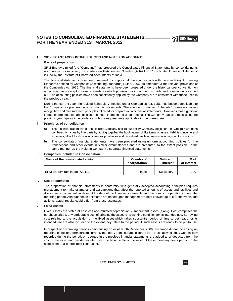

#### 1 **SIGNIFICANT ACCOUNTING POLICIES AND NOTES ON ACCOUNTS :**

#### **Basis of preparation**

SRM Energy Limited (the "Company") has prepared the Consolidated Financial Statements by consolidating its accounts with its subsidiary in accordance with Accounting Standard (AS)-21 on 'Consolidated Financial Statements' issued by the Institute of Chartered Accountants of India.

The Financial statements have been prepared to comply in all material respects with the mandatory Accounting Standards notified by Companies (Accounting Standards) Rules, 2006 (as amended) & the relevant provisions of the Companies Act 1956. The financial statements have been prepared under the historical cost convention on an accrual basis except in case of assets for which provision for impairment is made and revaluation is carried out. The accounting policies have been consistently applied by the Company & are consistent with those used in the previous year.

During the current year, the revised Schedule VI notified under Companies Act, 1956, has become applicable to the Company, for preparation of its financial statements. The adoption of revised Schedule VI does not impact recognition and measurement principles followed for preparation of financial statements. However, it has significant impact on presentation and disclosures made in the financial statements. The Company has also reclassified the previous year figures in accordance with the requirements applicable in the current year.

#### ii **Principles of consolidation**

- a) The Financial statements of the Holding Company and its subsidiary Company (together the "Group) have been combined on a line by line basis by adding together the book values of like items of assets, liabilities, income and expenses, after fully eliminating intra-group balances and unrealised profits or losses on intra-group transactions.
- b) The consolidated financial statements have been prepared using uniform accounting policies for like transactions and other events in similar circumstances and are presented, to the extent possible, in the same manner as the Holding Company's separate financial statements.

#### **iii Companies included in Consolidation**

| Name of the consolidated entity       | Country of<br>Incorporation | Nature of<br><b>Interest</b> |     |
|---------------------------------------|-----------------------------|------------------------------|-----|
| <b>SRM Energy Tamilnadu Pvt. Ltd.</b> | India                       | Subsidiary                   | 100 |

#### **iv Use of estimates**

The preparation of financial statements in conformity with generally accepted accounting principles requires management to make estimates and assumptions that affect the reported amounts of assets and liabilities and disclosure of contingent liabilities at the date of the financial statements and the results of operations during the reporting period. Although these estimates are based upon management's best knowledge of current events and actions, actual results could differ from these estimates.

#### **Fixed Assets**

Fixed Assets are stated at cost less accumulated depreciation & impairment losses (if any). Cost comprises the purchase price & any attributable cost of bringing the asset to its working condition for its intended use. Borrowing cost relating to the acquisition of the fixed asset which takes substantial period of time to get ready for its intended use are also included to the extent they relate to the period till such assets are ready to be put to use.

In respect of accounting periods commencing on or after 7th December, 2006, exchange difference arising on reporting of the long-term foreign currency monetary items at rates different from those at which they were initially recorded during the period, or reported in the previous financial statements are added to or deducted from the cost of the asset and are depreciated over the balance life of the asset, if these monetary items pertain to the acquisition of a depreciable fixed asset.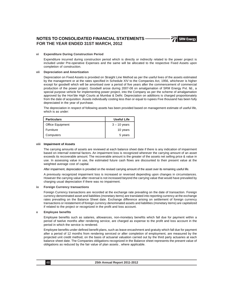

#### **vi Expenditure During Construction Period**

Expenditure incurred during construction period which is directly or indirectly related to the power project is included under Pre-operative Expenses and the same will be allocated to the respective Fixed Assets upon completion of construction.

#### **vii Depreciation and Amortization**

Depreciation on Fixed Assets is provided on Straight Line Method as per the useful lives of the assets estimated by the management or at the rates specified in Schedule XIV to the Companies Act, 1956, whichever is higher except for goodwill which will be amortised over a period of five years after the commencement of commercial production of the power project. Goodwill arose during 2007-08 on amalgamation of SRM Energy Pvt. ltd., a special purpose vehicle for implementing power project, into the Company as per the scheme of amalgamation approved by the Hon'ble High Courts at Mumbai & Delhi. Depreciation on additions is charged proportionately from the date of acquisition. Assets individually costing less than or equal to rupees Five thousand has been fully depreciated in the year of purchase.

The depreciation in respect of following assets has been provided based on management estimate of useful life, which is as under:

| <b>Particulars</b>      | Useful Life    |
|-------------------------|----------------|
| <b>Office Equipment</b> | $3 - 10$ years |
| Furniture               | 10 years       |
| Computers               | 5 years        |

#### **viii Impairment of Assets**

The carrying amounts of assets are reviewed at each balance sheet date if there is any indication of impairment based on internal/ external factors. An impairment loss is recognized wherever the carrying amount of an asset exceeds its recoverable amount. The recoverable amount is the greater of the assets net selling price & value in use. In assessing value in use, the estimated future cash flows are discounted to their present value at the weighted average cost of capital.

After impairment, depreciation is provided on the revised carrying amount of the asset over its remaining useful life.

A previously recognized impairment loss is increased or reversed depending upon changes in circumstances. However the carrying value after reversal is not increased beyond the carrying value that would have prevailed by charging usual depreciation if there was no impairment.

#### **ix Foreign Currency transactions**

Foreign Currency transactions are recorded at the exchange rate prevailing on the date of transaction. Foreign currency denominated asset and liabilities (monetary items) are translated into reporting currency at the exchange rates prevailing on the Balance Sheet date. Exchange difference arising on settlement of foreign currency transactions or restatement of foreign currency denominated assets and liabilities (monetary items) are capitalized if related to the project or recognized in the profit and loss account.

#### **x Employee benefits**

Employee benefits such as salaries, allowances, non-monetary benefits which fall due for payment within a period of twelve months after rendering service, are charged as expense to the profit and loss account in the period in which the service is rendered.

Employee benefits under defined benefit plans, such as leave encashment and gratuity which fall due for payment after a period of 12 months from rendering serviced or after completion of employment, are measured by the projected unit credit method, on the basis of actuarial valuation carried out by the third party actuaries at each balance sheet date. The Companies obligations recognized in the Balance sheet represents the present value of obligations as reduced by the fair value of plan assets , where applicable.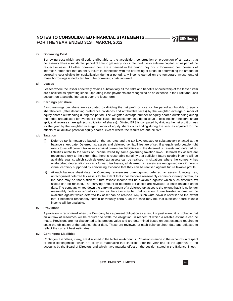

#### **xi Borrowing Cost**

Borrowing cost which are directly attributable to the acquisition, construction or production of an asset that necessarily takes a substantial period of time to get ready for its intended use or sale are capitalized as part of the respective asset. All other borrowing cost are expensed in the period they occur. Borrowing cost consists of interest & other cost that an entity incurs in connection with the borrowing of funds. In determining the amount of borrowing cost eligible for capitalization during a period, any income earned on the temporary investments of those borrowings is deducted from the borrowing costs incurred.

#### **xii Leases**

Leases where the lessor effectively retains substantially all the risks and benefits of ownership of the leased item are classified as operating lease. Operating lease payments are recognized as an expense in the Profit and Loss account on a straight-line basis over the lease term.

#### **xiii Earnings per share**

Basic earnings per share are calculated by dividing the net profit or loss for the period attributable to equity shareholders (after deducting preference dividends and attributable taxes) by the weighted average number of equity shares outstanding during the period. The weighted average number of equity shares outstanding during the period are adjusted for events of bonus issue; bonus element in a rights issue to existing shareholders; share split; and reverse share split (consolidation of shares). Diluted EPS is computed by dividing the net profit or loss for the year by the weighted average number of equity shares outstanding during the year as adjusted for the effects of all dilutive potential equity shares, except where the results are anti-dilutive.

#### **xiv Taxation**

- (i) Deferred tax is measured based on the tax rates and the tax laws enacted or substantively enacted at the balance sheet date. Deferred tax assets and deferred tax liabilities are offset, if a legally enforceable right exists to set off current tax assets against current tax liabilities and the deferred tax assets and deferred tax liabilities relate to the taxes on income levied by same governing taxation laws. Deferred tax assets are recognised only to the extent that there is reasonable certainty that sufficient future taxable income will be available against which such deferred tax assets can be realised. In situations where the company has unabsorbed depreciation or carry forward tax losses, all deferred tax assets are recognised only if there is virtual certainty supported by convincing evidence that they can be realised against future taxable profits.
- (ii) At each balance sheet date the Company re-assesses unrecognised deferred tax assets. It recognizes, unrecognised deferred tax assets to the extent that it has become reasonably certain or virtually certain, as the case may be that sufficient future taxable income will be available against which such deferred tax assets can be realised. The carrying amount of deferred tax assets are reviewed at each balance sheet date. The company writes-down the carrying amount of a deferred tax asset to the extent that it is no longer reasonably certain or virtually certain, as the case may be, that sufficient future taxable income will be available against which deferred tax asset can be realised. Any such write-down is reversed to the extent that it becomes reasonably certain or virtually certain, as the case may be, that sufficient future taxable income will be available.

#### **xv Provisions**

A provision is recognized when the Company has a present obligation as a result of past event; it is probable that an outflow of resources will be required to settle the obligation, in respect of which a reliable estimate can be made. Provisions are not discounted to its present value and are determined based on best estimate required to settle the obligation at the balance sheet date. These are reviewed at each balance sheet date and adjusted to reflect the current best estimates.

#### **xvi Contingent Liabilities**

Contingent Liabilities, if any, are disclosed in the Notes on Accounts. Provision is made in the accounts in respect of those contingencies which are likely to materialize into liabilities after the year end till the approval of the accounts by the Board of Directors and which have material effect on the position stated in the Balance Sheet.

| <b>IMITED</b><br><b>SRM</b><br>−N⊦ |  |
|------------------------------------|--|
|                                    |  |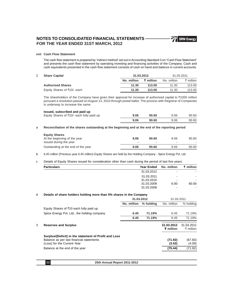

#### **xvii Cash Flow Statement**

The cash flow statement is prepared by 'indirect method' set out in Accounting Standard 3 on "Cash Flow Statement" and presents the cash flow statement by operating investing and financing activities of the Company. Cash and cash equivalents presented in the cash flow statement consists of cash on hand and balance in current accounts.

| <b>Share Capital</b>        |             | 31.03.2012 |             | 31.03.2011 |  |
|-----------------------------|-------------|------------|-------------|------------|--|
|                             | No. million | ₹ million  | No. million | ₹ million  |  |
| <b>Authorised Shares</b>    | 11.30       | 113.00     | 11.30       | 113.00     |  |
| Equity Shares of ₹10/- each | 11.30       | 113.00     | 11.30       | 113.00     |  |

The shareholders of the Company have given their approval for increase of authorised capital to  $\bar{\tau}$ 1000 million pursuant a resolution passed on August 13, 2010 through postal ballot. The process with Registrar of Companies is underway to increase the same.

| Issued, subscribed and paid up            |      |       |      |       |
|-------------------------------------------|------|-------|------|-------|
| Equity Shares of ₹10/- each fully paid up | 9.06 | 90.60 | 9.06 | 90.60 |
|                                           | 9.06 | 90.60 | 9.06 | 90.60 |

### a **Reconciliation of the shares outstanding at the beginning and at the end of the reporting period**

| <b>Equity Shares</b><br>At the beginning of the year<br>Issued during the year | 9.06<br>$\overline{\phantom{a}}$ | 90.60<br>- | 9.06 | 90.60 |
|--------------------------------------------------------------------------------|----------------------------------|------------|------|-------|
| Outstanding at the end of the year                                             | 9.06                             | 90.60      | 9.06 | 90.60 |

b 6.45 million (Previous year 6.45 million) Equity Shares are held by the Holding Company - Spice Energy Pvt. Ltd.

#### c Details of Equity Shares issued for consideration other than cash during the period of last five years:

| <b>Particulars</b> | <b>Year Ended</b> | No. million              | ₹ million                |
|--------------------|-------------------|--------------------------|--------------------------|
|                    | 31.03.2012        | -                        |                          |
|                    | 31.03.2011        |                          | $\overline{\phantom{a}}$ |
|                    | 31.03.2010        | $\overline{\phantom{a}}$ |                          |
|                    | 31.03.2009        | 6.00                     | 60.00                    |
|                    | 31.03.2008        | $\overline{\phantom{a}}$ |                          |
|                    |                   |                          |                          |

#### d **Details of share holders holding more than 5% shares in the Company**

|                                                                         | 31.03.2012  |                                                       | 31.03.2011              |                         |
|-------------------------------------------------------------------------|-------------|-------------------------------------------------------|-------------------------|-------------------------|
|                                                                         | No. million | % holding                                             | No. million             | % holding               |
| Equity Shares of ₹10 each fully paid up                                 |             |                                                       |                         |                         |
| Spice Energy Pvt. Ltd., the holding company                             | 6.45        | 71.19%                                                | 6.45                    | 71.19%                  |
|                                                                         | 6.45        | 71.19%                                                | 6.45                    | 71.19%                  |
| <b>Reserves and Surplus</b>                                             |             |                                                       | 31.03.2012<br>₹ million | 31.03.2011<br>₹ million |
| Balance as per last financial statements<br>(Loss) for the Current Year |             |                                                       | (71.92)<br>(3.52)       | (67.83)<br>(4.09)       |
| Balance at the end of the year                                          |             |                                                       | (75.44)                 | (71.92)                 |
|                                                                         |             | Surplus/(Deficit) in the statement of Profit and Loss |                         |                         |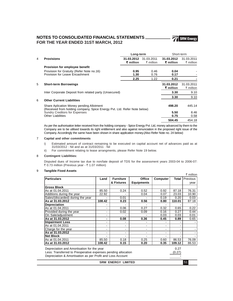

|   |                                                                                                                      |                                 | Long-term               |                         | Short-term              |
|---|----------------------------------------------------------------------------------------------------------------------|---------------------------------|-------------------------|-------------------------|-------------------------|
| 4 | <b>Provisions</b>                                                                                                    | 31.03.2012<br>$\bar{x}$ million | 31.03.2011<br>₹ million | 31.03.2012<br>₹ million | 31.03.2011<br>₹ million |
|   | <b>Provision for employee benefit</b>                                                                                |                                 |                         |                         |                         |
|   | Provision for Gratuity (Refer Note no.16)<br>Provision for Leave Encashment                                          | 0.95<br>1.30                    | 0.46<br>0.76            | 0.04<br>0.17            |                         |
|   |                                                                                                                      | 2.25                            | 1.22                    | 0.21                    |                         |
| 5 | <b>Short-term Borrowings</b>                                                                                         |                                 |                         | 31.03.2012<br>₹ million | 31.03.2011<br>₹ million |
|   | Inter Corporate Deposit from related party (Unsecured)                                                               |                                 |                         | 3.30                    | 9.10                    |
| 6 | <b>Other Current Liabilities</b>                                                                                     |                                 |                         | 3.30                    | 9.10                    |
|   | Share Aplication Money pending Allotment<br>(Received from holding company, Spice Energy Pvt. Ltd. Refer Note below) |                                 |                         | 498.20                  | 445.14                  |
|   | <b>Sundry Creditors for Expenses</b><br><b>Other Liabilities</b>                                                     |                                 |                         | 5.50<br>0.75            | 8.46<br>0.58            |
|   |                                                                                                                      |                                 |                         | 504.45                  | 454.18                  |

As per the authorisation letter received from the holding company - Spice Energy Pvt. Ltd, money advanced by them to the Company are to be utilised towards its right entitlement and also against renunciation in the proposed right issue of the Company. Accordingly the same have been shown in share application money.(Also Refer Note no. 24 below)

#### 7 **Capital and other commitments**

- i) Estimated amount of contract remaining to be executed on capital account net of advances paid as at 31/03/2012 : Nil and as at 31/03/2011 : Nil
- ii) For commitment relating to lease arrangments, please Refer Note 19 below.

#### 8 **Contingent Liabilities:**

Disputed dues of Income tax due to non/late deposit of TDS for the assessment years 2003-04 to 2006-07: ₹ 0.73 million (Previous year - ₹ 1.07 million)

#### 9 **Tangible Fixed Assets**

|                                                                         |        |                  |                   |                |        | ₹ million |
|-------------------------------------------------------------------------|--------|------------------|-------------------|----------------|--------|-----------|
| <b>Particulars</b>                                                      | Land   | <b>Furniture</b> | <b>Office</b>     | Computer       | Total  | Previous  |
|                                                                         |        | & Fixtures       | <b>Equipments</b> |                |        | year      |
| <b>Gross Block</b>                                                      |        |                  |                   |                |        |           |
| As at 01.04.2011                                                        | 85.50  | 0.24             | 0.52              | 0.92           | 87.18  | 76.31     |
| Additions during the year                                               | 22.92  |                  | 0.04              | 0.07           | 23.03  | 10.90     |
| Sales/(discarded) during the year                                       |        | 0.01             |                   | 0.19           | 0.20   | 0.03      |
| As at 31.03.2012                                                        | 108.42 | 0.23             | 0.56              | 0.80           | 110.01 | 87.18     |
| <b>Depreciation</b>                                                     |        |                  |                   |                |        |           |
| As at 01.04.2011                                                        | ۰      | 0.06             | 0.27              | 0.32           | 0.65   | 0.22      |
| Provided during the year                                                | ۰      | 0.02             | 0.09              | 0.16           | 0.27   | 0.44      |
| On Sale/adjustment                                                      | ۰      |                  |                   | 0.03           | 0.03   | 0.01      |
| As at 31.03.2012                                                        | -      | 0.08             | 0.36              | 0.45           | 0.89   | 0.65      |
| <b>Impairment Loss</b>                                                  | ۰      |                  |                   |                |        |           |
| As at 01.04.2011                                                        | ٠      | ٠                |                   | $\blacksquare$ |        |           |
| Charge for the year                                                     | -      |                  | ۰                 | ٠              | -      |           |
| As at 31.03.2012                                                        | ۰      | ۰                | ۰                 | $\blacksquare$ | ٠      |           |
| <b>Net Block</b>                                                        |        |                  |                   |                |        |           |
| As at 01.04.2011                                                        | 85.50  | 0.18             | 0.25              | 0.60           | 86.53  | 76.09     |
| As at 31.03.2012                                                        | 108.42 | 0.15             | 0.20              | 0.35           | 109.12 | 86.53     |
| Depreciation and Amortisation for the year<br>0.27                      |        |                  |                   |                |        |           |
| Less: Transferred to Preoperative expenses pending allocation<br>(0.27) |        |                  |                   |                |        |           |
| Depreciation & Amortisation as per Profit and Loss Account              |        |                  |                   |                |        |           |
|                                                                         |        |                  |                   |                |        |           |
| <b>SRM ENERGY LIMITED</b>                                               |        |                  |                   |                | 51     |           |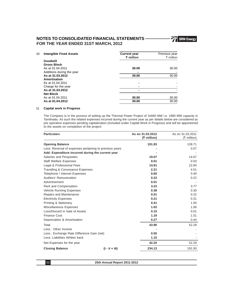SRM Energy

| 10 | <b>Intangible Fixed Assets</b> | <b>Current year</b><br>₹ million | Previous year<br>₹ million |
|----|--------------------------------|----------------------------------|----------------------------|
|    | Goodwill                       |                                  |                            |
|    | <b>Gross Block</b>             |                                  |                            |
|    | As at 01.04.2011               | 30.00                            | 30.00                      |
|    | Additions during the year      |                                  |                            |
|    | As at 31.03.2012               | 30.00                            | 30.00                      |
|    | Amortisation                   |                                  |                            |
|    | As at 01.04.2011               |                                  |                            |
|    | Charge for the year            |                                  |                            |
|    | As at 31.03.2012               |                                  |                            |
|    | <b>Net Block</b>               |                                  |                            |
|    | As at 01.04.2011               | 30.00                            | 30.00                      |
|    | As at 01.04.2012               | 30.00                            | 30.00                      |
|    |                                |                                  |                            |

#### 11 **Capital work in Progress**

The Company is in the process of setting up the Thermal Power Project of 3x660 MW i.e. 1980 MW capacity in Tamilnadu. As such the related expenses incurred during the current year as per details below are considered as pre operative expenses pending capitalization (included under Capital Work in Progress) and will be apportioned to the assets on completion of the project:

| <b>Particulars</b>                                      | As on 31.03.2012 | (₹ million) | As on 31.03.2011<br>(₹ million) |
|---------------------------------------------------------|------------------|-------------|---------------------------------|
| <b>Opening Balance</b>                                  |                  | 191.93      | 139.71                          |
| Less: Reversal of expenses pertaining to previous years |                  |             | 0.07                            |
| Add: Expenditure incurred during the current year       |                  |             |                                 |
| <b>Salaries and Perquisites</b>                         |                  | 19.07       | 14.67                           |
| <b>Staff Welfare Expenses</b>                           |                  | 0.01        | 0.03                            |
| Legal & Professional Fees                               |                  | 14.91       | 22.84                           |
| Travelling & Conveyance Expenses                        |                  | 2.21        | 4.51                            |
| Telephone / Internet Expenses                           |                  | 0.60        | 0.40                            |
| Auditors' Remuneration                                  |                  | 0.22        | 0.22                            |
| Advertisement                                           |                  | 0.01        |                                 |
| Rent and Compensation                                   |                  | 3.23        | 3.77                            |
| Vehicle Running Expenses                                |                  | 0.38        | 0.30                            |
| Repairs and Maintenance                                 |                  | 0.01        | 0.22                            |
| <b>Electricity Expenses</b>                             |                  | 0.21        | 0.31                            |
| Printing & Stationery                                   |                  | 0.41        | 1.50                            |
| Miscellaneous Expenses                                  |                  | 1.02        | 1.56                            |
| Loss/Discard in Sale of Assets                          |                  | 0.15        | 0.01                            |
| Finance Cost                                            |                  | 1.19        | 1.51                            |
| Depreciation & Amortisation                             |                  | 0.27        | 0.44                            |
| Total                                                   |                  | 43.90       | 52.29                           |
| Less: Other Income                                      |                  |             |                                 |
| Less : Exchange Rate Difference Gain (net)              |                  | 0.55        |                                 |
| Less: Liabilities Written back                          |                  | 1.15        |                                 |
| Net Expenses for the year                               |                  | 42.20       | 52.29                           |
| <b>Closing Balance</b>                                  | $(i - ii + iii)$ | 234.13      | 191.93                          |

52 **25th Annual Report 2011-2012**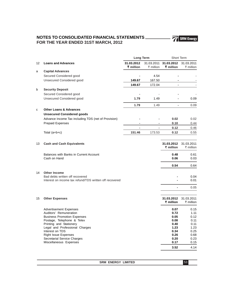

|              |                                                                                            | <b>Long Term</b>                        |                          |                          | Short Term              |  |
|--------------|--------------------------------------------------------------------------------------------|-----------------------------------------|--------------------------|--------------------------|-------------------------|--|
| 12           | <b>Loans and Advances</b>                                                                  | 31.03.2012<br>$\overline{\tau}$ million | 31.03.2011<br>₹ million  | 31.03.2012<br>₹ million  | 31.03.2011<br>₹ million |  |
| a            | <b>Capital Advances</b>                                                                    |                                         |                          |                          |                         |  |
|              | Secured Considered good                                                                    |                                         | 4.54                     |                          |                         |  |
|              | Unsecured Considered good                                                                  | 149.67                                  | 167.50                   | ۰                        |                         |  |
|              |                                                                                            | 149.67                                  | 172.04                   | $\overline{a}$           |                         |  |
| b            | <b>Security Deposit</b>                                                                    |                                         |                          |                          |                         |  |
|              | Secured Considered good                                                                    |                                         |                          |                          |                         |  |
|              | Unsecured Considered good                                                                  | 1.79                                    | 1.49                     |                          | 0.09                    |  |
|              |                                                                                            | 1.79                                    | 1.49                     | $\overline{\phantom{0}}$ | 0.09                    |  |
| $\mathbf{C}$ | <b>Other Loans &amp; Advances</b>                                                          |                                         |                          |                          |                         |  |
|              | <b>Unsecured Considered goods</b>                                                          |                                         |                          |                          |                         |  |
|              | Advance Income Tax including TDS (net of Provision)                                        |                                         |                          | 0.02                     | 0.02                    |  |
|              | Prepaid Expenses                                                                           | -                                       | $\overline{\phantom{a}}$ | 0.10                     | 0.44                    |  |
|              |                                                                                            | Ĭ.                                      | ÷,                       | 0.12                     | 0.46                    |  |
|              | Total $(a+b+c)$                                                                            | 151.46                                  | 173.53                   | 0.12                     | 0.55                    |  |
|              |                                                                                            |                                         |                          |                          |                         |  |
| 13           | <b>Cash and Cash Equivalents</b>                                                           |                                         |                          | 31.03.2012<br>₹ million  | 31.03.2011<br>₹ million |  |
|              | Balances with Banks in Current Account                                                     |                                         |                          | 0.48                     | 0.61                    |  |
|              | Cash on Hand                                                                               |                                         |                          | 0.06                     | 0.03                    |  |
|              |                                                                                            |                                         |                          | 0.54                     | 0.64                    |  |
| 14           | <b>Other Income</b>                                                                        |                                         |                          |                          |                         |  |
|              | Bad debts written off recovered<br>Interest on income tax refund/TDS written off recovered |                                         |                          |                          | 0.04<br>0.01            |  |
|              |                                                                                            |                                         |                          |                          |                         |  |
|              |                                                                                            |                                         |                          |                          | 0.05                    |  |
| 15           | <b>Other Expenses</b>                                                                      |                                         |                          | 31.03.2012<br>₹ million  | 31.03.2011<br>₹ million |  |
|              | <b>Advertisement Expenses</b>                                                              |                                         |                          | 0.07                     | 0.15                    |  |
|              | Auditors' Remuneration                                                                     |                                         |                          | 0.72                     | 1.11                    |  |
|              | <b>Business Promotion Expenses</b>                                                         |                                         |                          | 0.05                     | 0.12                    |  |
|              | Postage, Telephone & Telex                                                                 |                                         |                          | 0.08                     | 0.11                    |  |
|              | Printing and Stationery<br>Legal and Professional Charges                                  |                                         |                          | 0.40<br>1.23             | 0.11<br>1.23            |  |
|              | Interest on TDS                                                                            |                                         |                          | 0.34                     | 0.25                    |  |
|              | <b>Right Issue Expenses</b>                                                                |                                         |                          | 0.26                     | 0.68                    |  |
|              | <b>Secretarial Service Charges</b>                                                         |                                         |                          | 0.20                     | 0.23                    |  |
|              | Miscellaneous Expenses                                                                     |                                         |                          | 0.17                     | 0.15                    |  |
|              |                                                                                            |                                         |                          | 3.52                     | 4.14                    |  |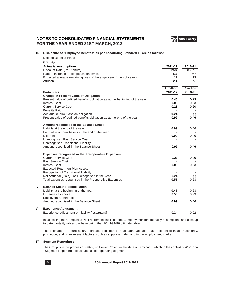

| 16 | Disclosure of "Employee Benefits" as per Accounting Standard 15 are as follows:<br><b>Defined Benefits Plans</b><br>Gratuity |                      |             |
|----|------------------------------------------------------------------------------------------------------------------------------|----------------------|-------------|
|    | <b>Actuarial Assumptions</b>                                                                                                 | $2011 - 12$          | $2010 - 11$ |
|    | Discount Rate (Per Annum)                                                                                                    | 8.25%                | 8.25%       |
|    | Rate of increase in compensation levels                                                                                      | 5%                   | 5%          |
|    | Expected average remaining lives of the employees (in no of years)                                                           | 12 <sup>2</sup>      | 13          |
|    | Attrition                                                                                                                    | 2%                   | 2%          |
|    |                                                                                                                              | $\bar{\tau}$ million | ₹ million   |
|    | <b>Particulars</b>                                                                                                           | 2011-12              | 2010-11     |
|    | Change in Present Value of Obligation                                                                                        |                      |             |
| L  | Present value of defined benefits obligation as at the beginning of the year                                                 | 0.46                 | 0.23        |
|    | <b>Interest Cost</b>                                                                                                         | 0.06                 | 0.03        |
|    | <b>Current Service Cost</b>                                                                                                  | 0.23                 | 0.20        |
|    | <b>Benefits Paid</b>                                                                                                         |                      |             |
|    | Actuarial (Gain) / loss on obligation                                                                                        | 0.24                 | $(\cdot)$   |
|    | Present value of defined benefits obligation as at the end of the year                                                       | 0.99                 | 0.46        |
|    |                                                                                                                              |                      |             |
| Ш  | Amount recognised in the Balance Sheet                                                                                       |                      |             |
|    | Liability at the end of the year                                                                                             | 0.99                 | 0.46        |
|    | Fair Value of Plan Assets at the end of the year                                                                             |                      |             |
|    | <b>Difference</b>                                                                                                            | 0.99                 | 0.46        |
|    | <b>Unrecognised Past Service Cost</b>                                                                                        |                      |             |
|    | Unrecognised Transitional Liability                                                                                          |                      |             |
|    | Amount recognised in the Balance Sheet                                                                                       | 0.99                 | 0.46        |
|    |                                                                                                                              |                      |             |
| Ш  | <b>Expenses recognised in the Pre-operative Expenses</b>                                                                     |                      |             |
|    | <b>Current Service Cost</b>                                                                                                  | 0.23                 | 0.20        |
|    | Past Service Cost                                                                                                            |                      |             |
|    | <b>Interest Cost</b>                                                                                                         | 0.06                 | 0.03        |
|    | Expected Return on Plan Assets                                                                                               |                      |             |
|    | Recognition of Transitional Liability                                                                                        |                      |             |
|    | Net Actuarial (Gain)/Loss Recognised in the year                                                                             | 0.24                 | $(-)$       |
|    | Total expenses recognised in the Preoperative Expenses                                                                       | 0.53                 | 0.23        |
|    |                                                                                                                              |                      |             |
| IV | <b>Balance Sheet Reconciliation</b>                                                                                          |                      |             |
|    | Liability at the beginning of the year                                                                                       | 0.46                 | 0.23        |
|    | Expenses as above                                                                                                            | 0.53                 | 0.23        |
|    | <b>Employers' Contribution</b>                                                                                               |                      |             |
|    | Amount recognised in the Balance Sheet                                                                                       | 0.99                 | 0.46        |
|    |                                                                                                                              |                      |             |
| V  | <b>Experience Adjustment</b>                                                                                                 |                      |             |
|    | Experience adjustment on liability {loss/(gain)}                                                                             | 0.24                 | 0.02        |
|    |                                                                                                                              |                      |             |

In assessing the Companies Post retirement liabilities, the Company monitors mortality assumptions and uses up to date mortality tables the base being the LIC 1994-96 ultimate tables.

The estimates of future salary increase, considered in actuarial valuation take account of inflation seniority, promotion, and other relevant factors, such as supply and demand in the employment market.

#### 17 **Segment Reporting :**

The Group is in the process of setting up Power Project in the state of Tamilnadu, which in the context of AS-17 on ' Segment Reporting', constitutes single operating segment.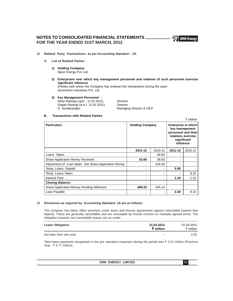

 $\bar{\tau}$  million

18 **Related Party Transactions as per Accounting Standard – 18:**

- **A. List of Related Parties**
	- **1) Holding Company:** Spice Energy Pvt. Ltd.
	- **2) Enterprises over which key management personnel and relatives of such personnel exercise significant influence**

(Parties with whom the Company has entered into transactions during the year) Sovinchem Industries Pvt. Ltd.

**3) Key Management Personnel :**

Deep Rastogi (upto 11.02.2011) Director Gagan Rastogi (w.e.f 11.02.2011) Director<br>D. Sundararajan Managin

Managing Director & CEO

#### **B. Transactions with Related Parties**

| <b>Particulars</b>                                    | <b>Holding Company</b> |         | Enterprise in which<br>key management<br>personnel and their<br>relatives exercise<br>significant<br>influence |         |
|-------------------------------------------------------|------------------------|---------|----------------------------------------------------------------------------------------------------------------|---------|
|                                                       | 2011-12                | 2010-11 | 2011-12                                                                                                        | 2010-11 |
| Loans Taken                                           |                        | 26.65   |                                                                                                                |         |
| Share Application Money Received                      | 53.06                  | 28.83   |                                                                                                                |         |
| Adjustment of Loan taken into Share Application Money |                        | 416.30  |                                                                                                                |         |
| Temp. Loans Repaid                                    |                        |         | 5.80                                                                                                           |         |
| Temp. Loans Taken                                     |                        |         |                                                                                                                | 9.10    |
| <b>Interest Paid</b>                                  |                        |         | 1.19                                                                                                           | 1.22    |
| <b>Closing Balance:</b>                               |                        |         |                                                                                                                |         |
| Share Application Money Pending Allotment             | 498.20                 | 445.14  |                                                                                                                |         |
| Loan Payable                                          |                        |         | 3.30                                                                                                           | 9.10    |

#### 19 **Disclosure as required by Accounting Standard -19 are as follows:**

L,

The company has taken office premises under leave and license agreements against refundable interest free deposit. These are generally cancellable and are renewable by mutual consent on mutually agreed terms. The obligation towards non-cancellable leases are as under:

| <b>Lease Obligation</b> | 31.03.2012<br>₹ million | 31.03.2011<br>₹ million |
|-------------------------|-------------------------|-------------------------|
| Not later than one year | $\blacksquare$          | 0.55                    |

Total lease payments recognised in the pre operative expenses during the period was  $\bar{\tau}$  3.23 million (Previous Year:  $\bar{\tau}$  3.77 million)

| ∵PM<br>∠IMITED<br>ייידי |  |
|-------------------------|--|
|                         |  |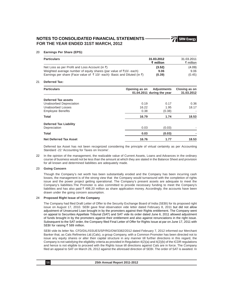#### 20 **Earnings Per Share (EPS):**

| <b>Particulars</b>                                                                              | 31.03.2012<br>₹ million | 31.03.2011<br>₹ million |
|-------------------------------------------------------------------------------------------------|-------------------------|-------------------------|
| Net Loss as per Profit and Loss Account (in ₹)                                                  | (3.52)                  | (4.09)                  |
| Weighted average number of equity shares (par value of $\bar{\tau}10/-$ each)                   | 9.06                    | 9.06                    |
| Earnings per share (Face value of $\bar{\tau}$ 10/- each)- Basic and Diluted (in $\bar{\tau}$ ) | (0.39)                  | (0.45)                  |

#### 21 **Deferred Tax:**

| <b>Particulars</b>            | Opening as on | <b>Adjustments</b><br>01.04.2011 during the year | Closing as on<br>31.03.2012 |
|-------------------------------|---------------|--------------------------------------------------|-----------------------------|
| Deferred Tax assets           |               |                                                  |                             |
| Unabsorbed Depreciation       | 0.19          | 0.17                                             | 0.36                        |
| Unabsorbed Losses             | 16.22         | 1.95                                             | 18.17                       |
| <b>Employee Benefits</b>      | 0.38          | (0.38)                                           |                             |
| <b>Total</b>                  | 16.79         | 1.74                                             | 18.53                       |
| <b>Deferred Tax Liability</b> |               |                                                  |                             |
| Depreciation                  | 0.03          | (0.03)                                           |                             |
| <b>Total</b>                  | 0.03          | (0.03)                                           |                             |
| <b>Net Deferred Tax Asset</b> | 16.76         | 1.77                                             | 18.53                       |

Deferred tax Asset has not been recognized considering the principle of virtual certainity as per Accounting Standard -22 'Accounting for Taxes on Income'.

22 In the opinion of the management, the realizable value of Current Assets, Loans and Advances in the ordinary course of business would not be less than the amount at which they are stated in the Balance Sheet and provision for all known and determined liabilities are adequately made.

#### 23 **Going Concern**

Though the Company's net worth has been substantially eroded and the Company has been incurring cash losses, the management is of the strong view that the Company would turnaround with the completion of rights issue and the power project getting operational. The Company's present assets are adequate to meet the Company's liabilities.The Promoter is also committed to provide necessary funding to meet the Company's liabilities and has also paid  $\bar{\tau}$  498.20 million as share application money. Accordingly, the accounts have been drawn under the going concern assumption.

#### 24 **Proposed Right Issue of the Company**

The Company had filed Draft Letter of Offer to the Security Exchange Board of India (SEBI) for its proposed right issue on August 17, 2010. SEBI gave final observation vide letter dated February 8, 2011 but did not allow adjustment of Unsecured Loan brought in by the promoters against their Rights entitlement. The Company went on appeal to Securities Appellate Tribunal (SAT) and SAT vide its order dated June 6, 2011 allowed adjustment of funds brought in by the promoters against their entitlement and also against renunciations in the right issue. Subsequent to the SAT order, the Company filed Final Letter of Offer for Rights Issue at par on June 17, 2011 with SEBI for raising  $\bar{\tau}$  589 million.

SEBI vide its letter No. CFD/DIL/ISSUES/SP/RG/OW/3382/2012 dated February 7, 2012 informed our Merchant Banker that, as Cals Refineries Ltd.(Cals), a group Company, with a Common Promoter has been directed not to issue any equity shares or alter their capital structure in any manner till further directions in this regard, the Company is not satisfying the eligibility criteria as provided in Regulation 4(2)(a) and 4(2)(b) of the ICDR regulations and hence is not eligible to proceed with the Rights Issue till directions against Cals are in force. The Company filed an appeal to SAT on March 26, 2012 against the aforesaid direction of SEBI. The order of SAT is awaited. In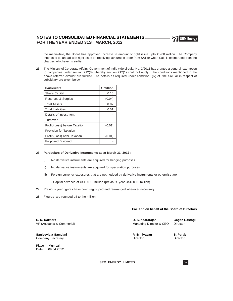

the meanwhile, the Board has approved increase in amount of right issue upto  $\bar{\tau}$  900 million. The Company intends to go ahead with right issue on receiving favourable order from SAT or when Cals is exonerated from the charges whichever is earlier.

25 The Ministry of Corporate Affairs, Government of India vide circular No. 2/2011 has granted a general exemption to companies under section 212(8) whereby section 212(1) shall not apply if the conditions mentioned in the above referred circular are fulfilled. The details as required under condition (iv) of the circular in respect of subsidiary are given below:

| <b>Particulars</b>            | ₹ million |
|-------------------------------|-----------|
| <b>Share Capital</b>          | 0.10      |
| Reserves & Surplus            | (0.04)    |
| <b>Total Assets</b>           | 0.07      |
| <b>Total Liabilities</b>      | 0.01      |
| Details of investment         |           |
| Turnover                      |           |
| Profit/(Loss) before Taxation | (0.01)    |
| Provision for Taxation        |           |
| Profit/(Loss) after Taxation  | (0.01)    |
| <b>Proposed Dividend</b>      |           |

#### 26 **Particulars of Derivative Instruments as at March 31, 2012 :**

- i) No derivative instruments are acquired for hedging purposes.
- ii) No derivative instruments are acquired for speculation purposes
- iii) Foreign currency exposures that are not hedged by derivative instruments or otherwise are :
	- Capital advance of USD 0.10 million (previous year USD 0.10 million)
- 27 Previous year figures have been regrouped and rearranged wherever necessary.
- 28 Figures are rounded off to the million.

#### **For and on behalf of the Board of Directors**

**S. R. Dakhera Gagan Rastogi**<br>
VP (Accounts & Commerial) **D. Sundararajan Gagan Rastogi**<br>
Managing Director & CEO Director VP (Accounts & Commerial) and Managing Director & CEO Director

**Sanjeevlata Samdani P. Srinivasan S. Parab** Company Secretary **Director** Director **Director** Director **Director** Director

Place : Mumbai. Date : 09.04.2012.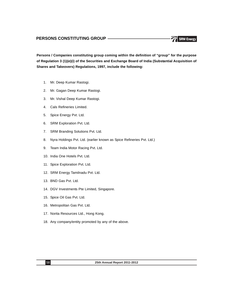**Persons / Companies constituting group coming within the definition of "group" for the purpose of Regulation 3 (1)(e)(i) of the Securities and Exchange Board of India (Substantial Acquisition of Shares and Takeovers) Regulations, 1997, include the following:**

- 1. Mr. Deep Kumar Rastogi.
- 2. Mr. Gagan Deep Kumar Rastogi.
- 3. Mr. Vishal Deep Kumar Rastogi.
- 4. Cals Refineries Limited.
- 5. Spice Energy Pvt. Ltd.
- 6. SRM Exploration Pvt. Ltd.
- 7. SRM Branding Solutions Pvt. Ltd.
- 8. Nyra Holdings Pvt. Ltd. (earlier known as Spice Refineries Pvt. Ltd.)
- 9. Team India Motor Racing Pvt. Ltd.
- 10. India One Hotels Pvt. Ltd.
- 11. Spice Exploration Pvt. Ltd.
- 12. SRM Energy Tamilnadu Pvt. Ltd.
- 13. BND Gas Pvt. Ltd.
- 14. DGV Investments Pte Limited, Singapore.
- 15. Spice Oil Gas Pvt. Ltd.
- 16. Metropolitan Gas Pvt. Ltd.
- 17. Norita Resources Ltd., Hong Kong.
- 18. Any company/entity promoted by any of the above.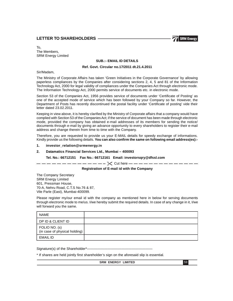### **LETTER TO SHAREHOLDERS**



To, The Members, SRM Energy Limited

### **SUB.:- EMAIL ID DETAILS**

#### **Ref. Govt. Circular no.17/2011 dt.21.4.2011**

Sir/Madam,

The Ministry of Corporate Affairs has taken 'Green Initiatives in the Corporate Governance' by allowing paperless compliances by the Companies after considering sections 2, 4, 5 and 81 of the Information Technology Act, 2000 for legal validity of compliances under the Companies Act through electronic mode. The Information Technology Act, 2000 permits service of documents etc. in electronic mode.

Section 53 of the Companies Act, 1956 provides service of documents under 'Certificate of Posting' as one of the accepted mode of service which has been followed by your Company so far. However, the Department of Posts has recently discontinued the postal facility under 'Certificate of posting' vide their letter dated 23.02.2011.

Keeping in view above, it is hereby clarified by the Ministry of Corporate affairs that a company would have complied with Section 53 of the Companies Act; if the service of document has been made through electronic mode, provided the company has obtained e-mail addresses of its members for sending the notice/ documents through e-mail by giving an advance opportunity to every shareholders to register their e-mail address and change therein from time to time with the Company.

Therefore, you are requested to provide us your E-MAIL details for speedy exchange of informations. Kindly provide us the following details. **You can also confirm the same on following email address(es):-**

- **1. investor\_relation@srmenergy.in**
- **2. Datamatics Financial Services Ltd., Mumbai 400093**

**Tel. No.: 66712151 Fax No.: 66712161 Email: investorsqry@dfssl.com**

Cut here

**Registration of E-mail id with the Company**

The Company Secretary SRM Energy Limited 601, Pressman House, 70-A, Nehru Road, C.T.S No.76 & 87, Vile Parle (East), Mumbai-400099.

Please register my/our email id with the company as mentioned here in below for serving documents through electronic mode to me/us. I/we hereby submit the required details. In case of any change in it, I/we will forward you the same.

| <b>NAME</b>                                    |  |
|------------------------------------------------|--|
| DP ID & CLIENT ID                              |  |
| FOLIO NO. (s)<br>(in case of physical holding) |  |
| EMAIL ID                                       |  |

Signature(s) of the Shareholder\*-

\* If shares are held jointly first shareholder's sign on the aforesaid slip is essential.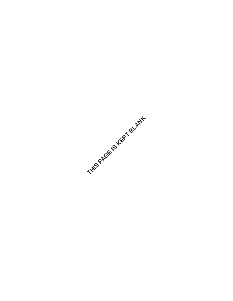**THIS PAGE 5 KEP BLANK**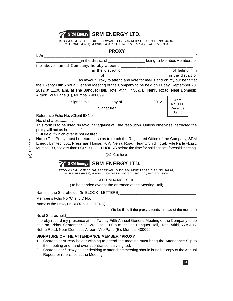

 $\overline{1}$  $\begin{array}{c} \hline \end{array}$  $\begin{array}{c} \hline \end{array}$ 

 $\overline{\phantom{a}}$ 

# **SRM Energy** SRM ENERGY LTD.

REGD. & ADMIN OFFICE: 601, PRESSMAN HOUSE, 70A, NEHRU ROAD, C.T.S. NO. 76& 87, VILE PARLE (EAST), MUMBAI – 400 099 TEL. NO. 6741 8901 & 2 , FAX : 6741 8900

| <b>PROXY</b>                                                                                                                                                                                                                                                                                                                                                                                                                                                                                                                                                        |                                                           |
|---------------------------------------------------------------------------------------------------------------------------------------------------------------------------------------------------------------------------------------------------------------------------------------------------------------------------------------------------------------------------------------------------------------------------------------------------------------------------------------------------------------------------------------------------------------------|-----------------------------------------------------------|
| I/We______________________                                                                                                                                                                                                                                                                                                                                                                                                                                                                                                                                          | of of<br>___________                                      |
| in the district of __________________ being a Member/Members of                                                                                                                                                                                                                                                                                                                                                                                                                                                                                                     |                                                           |
| ___________________________ in the district of _________________________ of failing him                                                                                                                                                                                                                                                                                                                                                                                                                                                                             |                                                           |
|                                                                                                                                                                                                                                                                                                                                                                                                                                                                                                                                                                     |                                                           |
| ________as my/our Proxy to attend and vote for me/us and on my/our behalf at                                                                                                                                                                                                                                                                                                                                                                                                                                                                                        |                                                           |
| the Twenty Fifth Annual General Meeting of the Company to be held on Friday, September 28,<br>2012 at 11.00 a.m. at The Banquet Hall, Hotel Atithi, 77A & B, Nehru Road, Near Domestic<br>Airport, Vile Parle (E), Mumbai - 400099.                                                                                                                                                                                                                                                                                                                                 |                                                           |
| Signed this ___________ day of ___________________ 2012.                                                                                                                                                                                                                                                                                                                                                                                                                                                                                                            | Affix<br>Re. 1.00                                         |
|                                                                                                                                                                                                                                                                                                                                                                                                                                                                                                                                                                     | Revenue                                                   |
| Reference Folio No. / Client ID No.                                                                                                                                                                                                                                                                                                                                                                                                                                                                                                                                 | Stamp                                                     |
| No. of shares                                                                                                                                                                                                                                                                                                                                                                                                                                                                                                                                                       |                                                           |
| * Strike out which over is not desired.<br>Note: The Proxy must be returned so as to reach the Registered Office of the Company, SRM<br>Energy Limited 601, Pressman House, 70 A, Nehru Road, Near Orchid Hotel, Vile Parle - East,<br>Mumbai-99, not less than FORTY EIGHT HOURS before the time for holding the aforesaid meeting.<br><b>SRM Energy SRM ENERGY LTD.</b><br>REGD. & ADMIN OFFICE: 601, PRESSMAN HOUSE, 70A, NEHRU ROAD, C.T.S. NO. 76& 87,<br>VILE PARLE (EAST), MUMBAI - 400 099 TEL. NO. 6741 8901 & 2, FAX: 6741 8900<br><b>ATTENDANCE SLIP</b> |                                                           |
| (To be handed over at the entrance of the Meeting Hall)                                                                                                                                                                                                                                                                                                                                                                                                                                                                                                             |                                                           |
|                                                                                                                                                                                                                                                                                                                                                                                                                                                                                                                                                                     |                                                           |
|                                                                                                                                                                                                                                                                                                                                                                                                                                                                                                                                                                     |                                                           |
|                                                                                                                                                                                                                                                                                                                                                                                                                                                                                                                                                                     |                                                           |
|                                                                                                                                                                                                                                                                                                                                                                                                                                                                                                                                                                     | (To be filled if the proxy attends instead of the member) |
| No of Shares held                                                                                                                                                                                                                                                                                                                                                                                                                                                                                                                                                   |                                                           |
| I hereby record my presence at the Twenty Fifth Annual General Meeting of the Company to be<br>held on Friday, September 28, 2012 at 11.00 a.m. at The Banquet Hall, Hotel Atithi, 77A & B,<br>Nehru Road, Near Domestic Airport, Vile Parle (E), Mumbai-400099                                                                                                                                                                                                                                                                                                     |                                                           |
| SIGNATURE OF THE ATTENDANCE MEMBER / PROXY<br>Shareholder/Proxy holder wishing to attend the meeting must bring the Attendance Slip to<br>1.<br>the meeting and hand over at entrance, duly signed.<br>Shareholder / Proxy holder desiring to attend the meeting should bring his copy of the Annual<br>2.<br>Report for reference at the Meeting.                                                                                                                                                                                                                  |                                                           |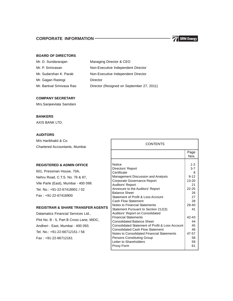### **TRIM Energy**

### **BOARD OF DIRECTORS**

| Mr. D. Sundararajan       | Managing Director & CEO                   |
|---------------------------|-------------------------------------------|
| Mr. P. Srinivasan         | Non-Executive Independent Director        |
| Mr. Sudarshan K. Parab    | Non-Executive Independent Director        |
| Mr. Gagan Rastogi         | Director                                  |
| Mr. Bantval Srinivasa Rao | Director (Resigned on September 27, 2011) |
|                           |                                           |

### **COMPANY SECRETARY**

Mrs.Sanjeevlata Samdani

### **BANKERS**

AXIS BANK LTD.

### **AUDITORS**

M/s Haribhakti & Co. Chartered Accountants, Mumbai

### **REGISTERED & ADMIN OFFICE**

601, Pressman House, 70A, Nehru Road, C.T.S. No. 76 & 87, Vile Parle (East), Mumbai - 400 099. Tel. No.: +91-22-67418901 / 02 Fax : +91-22-67418900

### **REGISTRAR & SHARE TRANSFER AGENTS**

Datamatics Financial Services Ltd., Plot No. B - 5, Part B Cross Lane, MIDC, Andheri - East, Mumbai - 400 093. Tel. No.: +91-22-66712151 / 56 Fax : +91-22-66712161

| <b>CONTENTS</b>                                                                                                                                                                                                                                                                                                                                                                                                                                     |                                                                                                                             |  |
|-----------------------------------------------------------------------------------------------------------------------------------------------------------------------------------------------------------------------------------------------------------------------------------------------------------------------------------------------------------------------------------------------------------------------------------------------------|-----------------------------------------------------------------------------------------------------------------------------|--|
|                                                                                                                                                                                                                                                                                                                                                                                                                                                     | Page<br>Nos.                                                                                                                |  |
| l Notice<br>Directors' Report<br>Certificate<br>Management Discussion and Analysis<br>Corporate Governance Report<br>Auditors' Report<br>Annexure to the Auditors' Report<br><b>Balance Sheet</b><br>Statement of Profit & Loss Account<br>l Cash Flow Statement<br>l Notes to Financial Statements<br>Statement Pursuant to Section 212(3)<br>Auditors' Report on Consolidated<br><b>Financial Statements</b><br><b>Consolidated Balance Sheet</b> | $1 - 2$<br>$3 - 7$<br>8<br>$9 - 12$<br>$13 - 20$<br>21<br>$22 - 25$<br>26<br>27<br>28<br>$29 - 40$<br>41<br>$42 - 43$<br>44 |  |
| Consolidated Statement of Profit & Loss Account<br>l Consolidated Cash Flow Statement                                                                                                                                                                                                                                                                                                                                                               | 45<br>46                                                                                                                    |  |
| Notes to Consolidated Financial Statements<br><b>Persons Constituting Group</b><br>Letter to Shareholders<br>  Proxy Form                                                                                                                                                                                                                                                                                                                           | 47-57<br>58<br>59<br>61                                                                                                     |  |